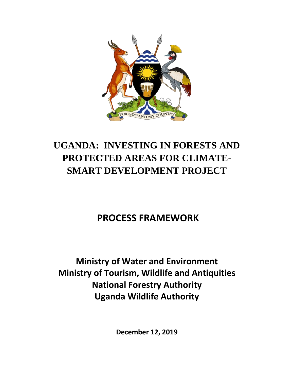

# **UGANDA: INVESTING IN FORESTS AND PROTECTED AREAS FOR CLIMATE-SMART DEVELOPMENT PROJECT**

# **PROCESS FRAMEWORK**

**Ministry of Water and Environment Ministry of Tourism, Wildlife and Antiquities National Forestry Authority Uganda Wildlife Authority** 

**December 12, 2019**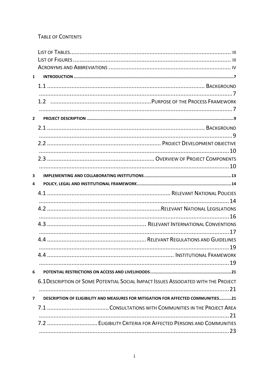### **TABLE OF CONTENTS**

| $\mathbf{1}$            |                                                                                    |
|-------------------------|------------------------------------------------------------------------------------|
|                         |                                                                                    |
|                         |                                                                                    |
|                         |                                                                                    |
|                         |                                                                                    |
| $2^{\circ}$             |                                                                                    |
|                         |                                                                                    |
|                         |                                                                                    |
|                         |                                                                                    |
|                         |                                                                                    |
|                         |                                                                                    |
|                         |                                                                                    |
| 3                       |                                                                                    |
| 4                       |                                                                                    |
|                         |                                                                                    |
|                         |                                                                                    |
|                         |                                                                                    |
|                         |                                                                                    |
|                         |                                                                                    |
|                         |                                                                                    |
|                         |                                                                                    |
|                         |                                                                                    |
|                         |                                                                                    |
|                         |                                                                                    |
| 6                       |                                                                                    |
|                         | 6.1 DESCRIPTION OF SOME POTENTIAL SOCIAL IMPACT ISSUES ASSOCIATED WITH THE PROJECT |
|                         |                                                                                    |
| $\overline{\mathbf{z}}$ | DESCRIPTION OF ELIGIBILITY AND MEASURES FOR MITIGATION FOR AFFECTED COMMUNITIES21  |
|                         |                                                                                    |
|                         | . 21<br>7.2  ELIGIBILITY CRITERIA FOR AFFECTED PERSONS AND COMMUNITIES             |
|                         |                                                                                    |
|                         |                                                                                    |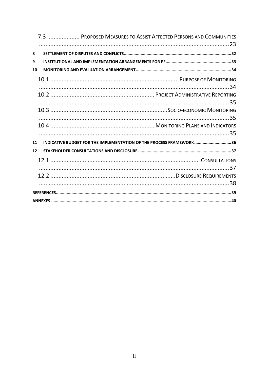| 7.3  PROPOSED MEASURES TO ASSIST AFFECTED PERSONS AND COMMUNITIES         |
|---------------------------------------------------------------------------|
| 8                                                                         |
| 9                                                                         |
| 10                                                                        |
|                                                                           |
|                                                                           |
|                                                                           |
|                                                                           |
| INDICATIVE BUDGET FOR THE IMPLEMENTATION OF THE PROCESS FRAMEWORK36<br>11 |
| 12                                                                        |
|                                                                           |
|                                                                           |
|                                                                           |
|                                                                           |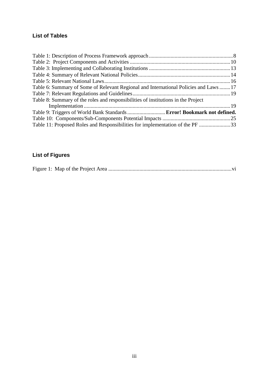## <span id="page-3-0"></span>**List of Tables**

| Table 6: Summary of Some of Relevant Regional and International Policies and Laws 17 |  |
|--------------------------------------------------------------------------------------|--|
|                                                                                      |  |
| Table 8: Summary of the roles and responsibilities of institutions in the Project    |  |
|                                                                                      |  |
| Table 9: Triggers of World Bank Standards  Error! Bookmark not defined.              |  |
|                                                                                      |  |
| Table 11: Proposed Roles and Responsibilities for implementation of the PF 33        |  |

# <span id="page-3-1"></span>**List of Figures**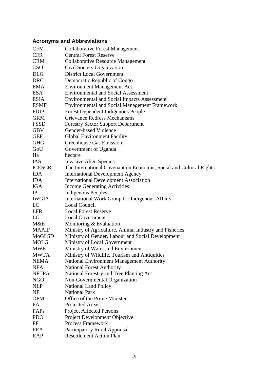# <span id="page-4-0"></span>**Acronyms and Abbreviations**

| <b>CFM</b>    | <b>Collaborative Forest Management</b>                             |
|---------------|--------------------------------------------------------------------|
| <b>CFR</b>    | <b>Central Forest Reserve</b>                                      |
| <b>CRM</b>    | <b>Collaborative Resource Management</b>                           |
| <b>CSO</b>    | Civil Society Organization                                         |
| <b>DLG</b>    | <b>District Local Government</b>                                   |
| <b>DRC</b>    | Democratic Republic of Congo                                       |
| <b>EMA</b>    | <b>Environment Management Act</b>                                  |
| <b>ESA</b>    | <b>Environmental and Social Assessment</b>                         |
| <b>ESIA</b>   | <b>Environmental and Social Impacts Assessment</b>                 |
| <b>ESMF</b>   | <b>Environmental and Social Management Framework</b>               |
| <b>FDIP</b>   | <b>Forest Dependent Indigenous People</b>                          |
| <b>GRM</b>    | <b>Grievance Redress Mechanisms</b>                                |
| <b>FSSD</b>   | <b>Forestry Sector Support Department</b>                          |
| <b>GBV</b>    | Gender-based Violence                                              |
| <b>GEF</b>    | <b>Global Environment Facility</b>                                 |
| <b>GHG</b>    | <b>Greenhouse Gas Emission</b>                                     |
| GoU           | Government of Uganda                                               |
| Ha            | hectare                                                            |
| <b>IAS</b>    | <b>Invasive Alien Species</b>                                      |
| <b>ICESCR</b> | The International Covenant on Economic, Social and Cultural Rights |
| <b>IDA</b>    | <b>International Development Agency</b>                            |
| <b>IDA</b>    | <b>International Development Association</b>                       |
| <b>IGA</b>    | <b>Income Generating Activities</b>                                |
| $_{\rm IP}$   | Indigenous Peoples                                                 |
| <b>IWGIA</b>  | International Work Group for Indigenous Affairs                    |
| LC            | <b>Local Council</b>                                               |
| <b>LFR</b>    | <b>Local Forest Reserve</b>                                        |
| LG            | <b>Local Government</b>                                            |
| M&E           | Monitoring & Evaluation                                            |
| <b>MAAIF</b>  | Ministry of Agriculture, Animal Industry and Fisheries             |
| MoGLSD        | Ministry of Gender, Labour and Social Development                  |
| <b>MOLG</b>   | Ministry of Local Government                                       |
| <b>MWE</b>    | Ministry of Water and Environment                                  |
| <b>MWTA</b>   | Ministry of Wildlife, Tourism and Antiquities                      |
| <b>NEMA</b>   | <b>National Environment Management Authority</b>                   |
| <b>NFA</b>    | <b>National Forest Authority</b>                                   |
| <b>NFTPA</b>  | National Forestry and Tree Planting Act                            |
| <b>NGO</b>    | Non-Governmental Organization                                      |
| <b>NLP</b>    | <b>National Land Policy</b>                                        |
| NP            | <b>National Park</b>                                               |
| <b>OPM</b>    | Office of the Prime Minister                                       |
| PA            | <b>Protected Areas</b>                                             |
| PAPs          | <b>Project Affected Persons</b>                                    |
| <b>PDO</b>    | Project Development Objective                                      |
| PF            | <b>Process Framework</b>                                           |
| <b>PRA</b>    | Participatory Rural Appraisal                                      |
| <b>RAP</b>    | <b>Resettlement Action Plan</b>                                    |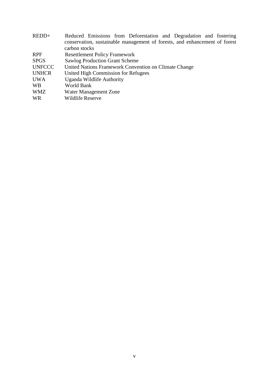| REDD+         | Reduced Emissions from Deforestation and Degradation and fostering         |
|---------------|----------------------------------------------------------------------------|
|               | conservation, sustainable management of forests, and enhancement of forest |
|               | carbon stocks                                                              |
| <b>RPF</b>    | <b>Resettlement Policy Framework</b>                                       |
| <b>SPGS</b>   | <b>Sawlog Production Grant Scheme</b>                                      |
| <b>UNFCCC</b> | United Nations Framework Convention on Climate Change                      |
| <b>UNHCR</b>  | United High Commission for Refugees                                        |
| <b>UWA</b>    | Uganda Wildlife Authority                                                  |
| <b>WB</b>     | World Bank                                                                 |
| <b>WMZ</b>    | Water Management Zone                                                      |
| <b>WR</b>     | <b>Wildlife Reserve</b>                                                    |
|               |                                                                            |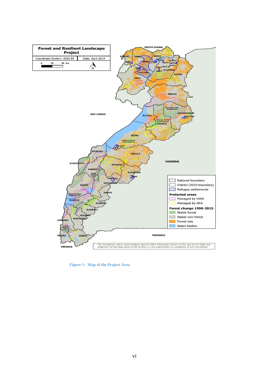

<span id="page-6-0"></span>**Figure 1: Map of the Project Area**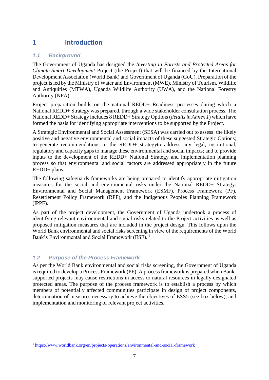# <span id="page-7-0"></span>**1 Introduction**

### <span id="page-7-1"></span>*1.1 Background*

The Government of Uganda has designed the *Investing in Forests and Protected Areas for Climate-Smart Development* Project (the Project) that will be financed by the International Development Association (World Bank) and Government of Uganda (GoU). Preparation of the project is led by the Ministry of Water and Environment (MWE), Ministry of Tourism, Wildlife and Antiquities (MTWA), Uganda Wildlife Authority (UWA), and the National Forestry Authority (NFA).

Project preparation builds on the national REDD+ Readiness processes during which a National REDD+ Strategy was prepared, through a wide stakeholder consultation process. The National REDD+ Strategy includes 8 REDD+ Strategy Options (*details in Annex 1*) which have formed the basis for identifying appropriate interventions to be supported by the Project.

A Strategic Environmental and Social Assessment (SESA) was carried out to assess: the likely positive and negative environmental and social impacts of these suggested Strategic Options; to generate recommendations to the REDD+ strategyto address any legal, institutional, regulatory and capacity gaps to manage these environmental and social impacts; and to provide inputs to the development of the REDD+ National Strategy and implementation planning process so that environmental and social factors are addressed appropriately in the future REDD+ plans.

The following safeguards frameworks are being prepared to identify appropriate mitigation measures for the social and environmental risks under the National REDD+ Strategy: Environmental and Social Management Framework (ESMF), Process Framework (PF), Resettlement Policy Framework (RPF), and the Indigenous Peoples Planning Framework (IPPF).

As part of the project development, the Government of Uganda undertook a process of identifying relevant environmental and social risks related to the Project activities as well as proposed mitigation measures that are included in the project design. This follows upon the World Bank environmental and social risks screening in view of the requirements of the World Bank's Environmental and Social Framework (ESF). 1

### <span id="page-7-2"></span>*1.2 Purpose of the Process Framework*

1

As per the World Bank environmental and social risks screening, the Government of Uganda is required to develop a Process Framework (PF). A process framework is prepared when Banksupported projects may cause restrictions in access to natural resources in legally designated protected areas. The purpose of the process framework is to establish a process by which members of potentially affected communities participate in design of project components, determination of measures necessary to achieve the objectives of ESS5 (see box below), and implementation and monitoring of relevant project activities.

<sup>1</sup> <https://www.worldbank.org/en/projects-operations/environmental-and-social-framework>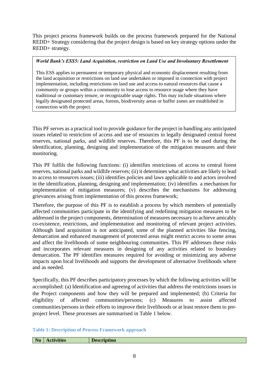This project process framework builds on the process framework prepared for the National REDD+ Strategy considering that the project design is based on key strategy options under the REDD+ strategy.

#### *World Bank's ESS5: Land Acquisition, restriction on Land Use and Involuntary Resettlement*

This ESS applies to permanent or temporary physical and economic displacement resulting from the land acquisition or restrictions on land use undertaken or imposed in connection with project implementation, including restrictions on land use and access to natural resources that cause a community or groups within a community to lose access to resource usage where they have traditional or customary tenure, or recognizable usage rights. This may include situations where legally designated protected areas, forests, biodiversity areas or buffer zones are established in connection with the project.

This PF serves as a practical tool to provide guidance for the project in handling any anticipated issues related to restriction of access and use of resources in legally designated central forest reserves, national parks, and wildlife reserves. Therefore, this PF is to be used during the identification, planning, designing and implementation of the mitigation measures and their monitoring.

This PF fulfils the following functions: (i) identifies restrictions of access to central forest reserves, national parks and wildlife reserves; (ii) it determines what activities are likely to lead to access to resources issues; (iii) identifies policies and laws applicable to and actors involved in the identification, planning, designing and implementation; (iv) identifies a mechanism for implementation of mitigation measures; (v) describes the mechanisms for addressing grievances arising from implementation of this process framework;

Therefore, the purpose of this PF is to establish a process by which members of potentially affected communities participate in the identifying and redefining mitigation measures to be addressed in the project components, determination of measures necessary to achieve amicably co-existence, restrictions, and implementation and monitoring of relevant project activities. Although land acquisition is not anticipated, some of the planned activities like fencing, demarcation and enhanced management of protected areas might restrict access to some areas and affect the livelihoods of some neighbouring communities. This PF addresses these risks and incorporates relevant measures in designing of any activities related to boundary demarcation. The PF identifies measures required for avoiding or minimizing any adverse impacts upon local livelihoods and supports the development of alternative livelihoods where and as needed.

Specifically, this PF describes participatory processes by which the following activities will be accomplished: (a) Identification and agreeing of activities that address the restrictions issues in the Project components and how they will be prepared and implemented; (b) Criteria for eligibility of affected communities/persons; (c) Measures to assist affected communities/persons in their efforts to improve their livelihoods or at least restore them to preproject level. These processes are summarised in Table 1 below.

#### <span id="page-8-0"></span>**Table 1: Description of Process Framework approach**

| $-$ | N <sub>o</sub> | $\bullet\ ^{.\,}\,$<br><b>Activities</b> | $-$<br>лоп |
|-----|----------------|------------------------------------------|------------|
|-----|----------------|------------------------------------------|------------|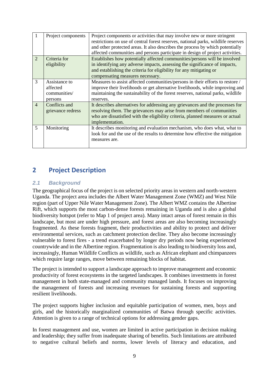|                | Project components                                   | Project components or activities that may involve new or more stringent<br>restrictions on use of central forest reserves, national parks, wildlife reserves<br>and other protected areas. It also describes the process by which potentially<br>affected communities and persons participate in design of project activities. |
|----------------|------------------------------------------------------|--------------------------------------------------------------------------------------------------------------------------------------------------------------------------------------------------------------------------------------------------------------------------------------------------------------------------------|
| $\overline{2}$ | Criteria for<br>eligibility                          | Establishes how potentially affected communities/persons will be involved<br>in identifying any adverse impacts, assessing the significance of impacts,<br>and establishing the criteria for eligibility for any mitigating or<br>compensating measures necessary.                                                             |
| 3              | Assistance to<br>affected<br>communities/<br>persons | Measures to assist affected communities/persons in their efforts to restore /<br>improve their livelihoods or get alternative livelihoods, while improving and<br>maintaining the sustainability of the forest reserves, national parks, wildlife<br>reserves.                                                                 |
| $\overline{4}$ | Conflicts and<br>grievance redress                   | It describes alternatives for addressing any grievances and the processes for<br>resolving them. The grievances may arise from members of communities<br>who are dissatisfied with the eligibility criteria, planned measures or actual<br>implementation.                                                                     |
| 5              | Monitoring                                           | It describes monitoring and evaluation mechanism, who does what, what to<br>look for and the use of the results to determine how effective the mitigation<br>measures are.                                                                                                                                                     |

# <span id="page-9-0"></span>**2 Project Description**

#### <span id="page-9-1"></span>*2.1 Background*

The geographical focus of the project is on selected priority areas in western and north-western Uganda. The project area includes the Albert Water Management Zone (WMZ) and West Nile region (part of Upper Nile Water Management Zone). The Albert WMZ contains the Albertine Rift, which supports the most carbon-dense forests remaining in Uganda and is also a global biodiversity hotspot (refer to Map 1 of project area). Many intact areas of forest remain in this landscape, but most are under high pressure, and forest areas are also becoming increasingly fragmented. As these forests fragment, their productivities and ability to protect and deliver environmental services, such as catchment protection decline. They also become increasingly vulnerable to forest fires - a trend exacerbated by longer dry periods now being experienced countrywide and in the Albertine region. Fragmentation is also leading to biodiversity loss and, increasingly, Human Wildlife Conflicts as wildlife, such as African elephant and chimpanzees which require large ranges, move between remaining blocks of habitat.

The project is intended to support a landscape approach to improve management and economic productivity of forest ecosystems in the targeted landscapes. It combines investments in forest management in both state-managed and community managed lands. It focuses on improving the management of forests and increasing revenues for sustaining forests and supporting resilient livelihoods.

The project supports higher inclusion and equitable participation of women, men, boys and girls, and the historically marginalized communities of Batwa through specific activities. Attention is given to a range of technical options for addressing gender gaps.

In forest management and use, women are limited in active participation in decision making and leadership; they suffer from inadequate sharing of benefits. Such limitations are attributed to negative cultural beliefs and norms, lower levels of literacy and education, and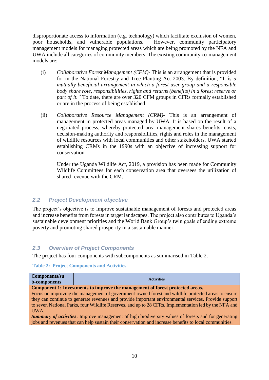disproportionate access to information (e.g. technology) which facilitate exclusion of women, poor households, and vulnerable populations. However, community participatory management models for managing protected areas which are being promoted by the NFA and UWA include all categories of community members. The existing community co-management models are:

- (i) *Collaborative Forest Management (CFM)* This is an arrangement that is provided for in the National Forestry and Tree Planting Act 2003. By definition, "It is *a mutually beneficial arrangement in which a forest user group and a responsible body share role, responsibilities, rights and returns (benefits) in a forest reserve or part of it.*" To date, there are over 320 CFM groups in CFRs formally established or are in the process of being established.
- (ii) *Collaborative Resource Management (CRM)* This is an arrangement of management in protected areas managed by UWA. It is based on the result of a negotiated process, whereby protected area management shares benefits, costs, decision-making authority and responsibilities, rights and roles in the management of wildlife resources with local communities and other stakeholders. UWA started establishing CRMs in the 1990s with an objective of increasing support for conservation.

Under the Uganda Wildlife Act, 2019, a provision has been made for Community Wildlife Committees for each conservation area that oversees the utilization of shared revenue with the CRM.

### <span id="page-10-0"></span>*2.2 Project Development objective*

The project's objective is to improve sustainable management of forests and protected areas and increase benefits from forests in target landscapes. The project also contributes to Uganda's sustainable development priorities and the World Bank Group's twin goals of ending extreme poverty and promoting shared prosperity in a sustainable manner.

### <span id="page-10-1"></span>*2.3 Overview of Project Components*

The project has four components with subcomponents as summarised in Table 2.

#### <span id="page-10-2"></span>**Table 2: Project Components and Activities**

| Components/su<br><b>b-components</b>                                                                       | <b>Activities</b>                                                             |  |
|------------------------------------------------------------------------------------------------------------|-------------------------------------------------------------------------------|--|
|                                                                                                            | Component 1: Investments to improve the management of forest protected areas. |  |
| Focus on improving the management of government-owned forest and wildlife protected areas to ensure        |                                                                               |  |
| they can continue to generate revenues and provide important environmental services. Provide support       |                                                                               |  |
| to seven National Parks, four Wildlife Reserves, and up to 28 CFRs. Implementation led by the NFA and      |                                                                               |  |
| UWA.                                                                                                       |                                                                               |  |
| <b>Summary of activities:</b> Improve management of high biodiversity values of forests and for generating |                                                                               |  |

jobs and revenues that can help sustain their conservation and increase benefits to local communities.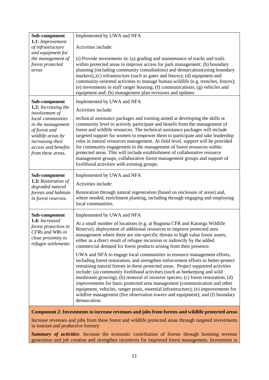| Sub-component                                                                                                                                | Implemented by UWA and NFA                                                                                                                                                                                                                                                                                                                                                                                                                                                                                                                                                                                                                                                                        |
|----------------------------------------------------------------------------------------------------------------------------------------------|---------------------------------------------------------------------------------------------------------------------------------------------------------------------------------------------------------------------------------------------------------------------------------------------------------------------------------------------------------------------------------------------------------------------------------------------------------------------------------------------------------------------------------------------------------------------------------------------------------------------------------------------------------------------------------------------------|
| 1.1: Improvement<br>of infrastructure                                                                                                        | Activities include:                                                                                                                                                                                                                                                                                                                                                                                                                                                                                                                                                                                                                                                                               |
| and equipment for                                                                                                                            |                                                                                                                                                                                                                                                                                                                                                                                                                                                                                                                                                                                                                                                                                                   |
| the management of<br>forest protected<br>areas                                                                                               | (i) Provide investments in: (a) grading and maintenance of tracks and trails<br>within protected areas to improve access for park management; (b) boundary<br>planning (including community consultations) and demarcation(using boundary<br>markers),;(c) infrastructure (such as gates and fences); (d) equipment and<br>community-oriented activities to manage human-wildlife (e.g. trenches, fences);<br>(e) investments in staff ranger housing; (f) communications; (g) vehicles and<br>equipment and; (h) management plan revisions and updates.                                                                                                                                          |
| Sub-component                                                                                                                                | Implemented by UWA and NFA                                                                                                                                                                                                                                                                                                                                                                                                                                                                                                                                                                                                                                                                        |
| 1.2: Increasing the<br>involvement of                                                                                                        | Activities include:                                                                                                                                                                                                                                                                                                                                                                                                                                                                                                                                                                                                                                                                               |
| local communities<br>in the management<br>of forest and<br>wildlife areas by<br>increasing their<br>access and benefits<br>from these areas. | technical assistance packages and training aimed at developing the skills at<br>community level to actively participate and benefit from the management of<br>forest and wildlife resources. The technical assistance packages will include<br>targeted support for women to empower them to participate and take leadership<br>roles in natural resources management. At field level, support will be provided<br>for community engagement in the management of forest resources within<br>protected areas. This will include establishment of collaborative resource<br>management groups, collaborative forest management groups and support of<br>livelihood activities with existing groups. |
| Sub-component                                                                                                                                | Implemented by UWA and NFA                                                                                                                                                                                                                                                                                                                                                                                                                                                                                                                                                                                                                                                                        |
| 1.3: Restoration of<br>degraded natural                                                                                                      | Activities include:                                                                                                                                                                                                                                                                                                                                                                                                                                                                                                                                                                                                                                                                               |
| forests and habitats<br>in forest reserves.                                                                                                  | Restoration through natural regeneration (based on enclosure of areas) and,<br>where needed, enrichment planting, including through engaging and employing<br>local communities.                                                                                                                                                                                                                                                                                                                                                                                                                                                                                                                  |
| Sub-component                                                                                                                                | Implemented by UWA and NFA                                                                                                                                                                                                                                                                                                                                                                                                                                                                                                                                                                                                                                                                        |
| 1.4: Increased<br>forest protection in<br>CFRs and WRs in<br>close proximity to<br>refugee settlements                                       | At a small number of locations (e.g. at Bugoma CFR and Katonga Wildlife<br>Reserve), deployment of additional resources to improve protected area<br>management where there are site-specific threats to high value forest assets,<br>either as a direct result of refugee incursion or indirectly by the added<br>commercial demand for forest products arising from their presence.                                                                                                                                                                                                                                                                                                             |
|                                                                                                                                              | UWA and NFA to engage local communities in resource management efforts,<br>including forest restoration, and strengthen enforcement efforts to better-protect<br>remaining natural forests in these protected areas. Project supported activities<br>include: (a) community livelihood activities (such as beekeeping and wild<br>mushroom growing); (b) removal of invasive species; (c) forest restoration; (d)<br>improvements for basic protected area management (communication and other<br>equipment, vehicles, ranger posts, essential infrastructure); (e) improvements for<br>wildfire management (fire observation towers and equipment); and (f) boundary<br>demarcation.             |
|                                                                                                                                              | Component 2: Investments to increase revenues and jobs from forests and wildlife protected areas                                                                                                                                                                                                                                                                                                                                                                                                                                                                                                                                                                                                  |

Increase revenues and jobs from these forest and wildlife protected areas through targeted investments in tourism and productive forestry

*Summary of activities*: Increase the economic contribution of forests through boosting revenue generation and job creation and strengthen incentives for improved forest management**.** Investment in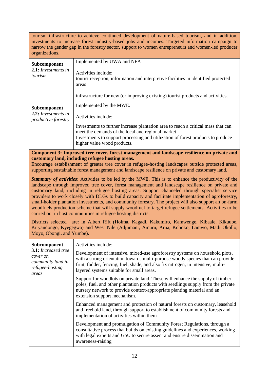tourism infrastructure to achieve continued development of nature-based tourism, and in addition, investments to increase forest industry-based jobs and incomes. Targeted information campaign to narrow the gender gap in the forestry sector, support to women entrepreneurs and women-led producer organizations.

| Subcomponent<br>2.1: Investments in<br>tourism                    | Implemented by UWA and NFA<br>Activities include:<br>tourist reception, information and interpretive facilities in identified protected<br>areas<br>infrastructure for new (or improving existing) tourist products and activities.                                                                        |
|-------------------------------------------------------------------|------------------------------------------------------------------------------------------------------------------------------------------------------------------------------------------------------------------------------------------------------------------------------------------------------------|
| Subcomponent<br>2.2: Investments in<br><i>productive forestry</i> | Implemented by the MWE.<br>Activities include:<br>Investments to further increase plantation area to reach a critical mass that can<br>meet the demands of the local and regional market<br>Investments to support processing and utilization of forest products to produce<br>higher value wood products. |

**Component 3: Improved tree cover, forest management and landscape resilience on private and customary land, including refugee hosting areas.**

Encourage establishment of greater tree cover in refugee-hosting landscapes outside protected areas, supporting sustainable forest management and landscape resilience on private and customary land.

*Summary of activities*: Activities to be led by the MWE. This is to enhance the productivity of the landscape through improved tree cover, forest management and landscape resilience on private and customary land, including in refugee hosting areas. Support channeled through specialist service providers to work closely with DLGs to build capacity and facilitate implementation of agroforestry, small-holder plantation investments, and community forestry. The project will also support an on-farm woodfuels production scheme that will supply woodfuel to target refugee settlements. Activities to be carried out in host communities in refugee hosting districts.

Districts selected are: in Albert Rift (Hoima, Kagadi, Kakumiro, Kamwenge, Kibaale, Kikuube, Kiryandongo, Kyegegwa) and West Nile (Adjumani, Amuru, Arua, Koboko, Lamwo, Madi Okollo, Moyo, Obongi, and Yumbe).

| <b>Subcomponent</b><br>3.1: Increased tree<br>cover on<br>community land in<br>refugee-hosting<br>areas | Activities include:<br>Development of intensive, mixed-use agroforestry systems on household plots,<br>with a strong orientation towards multi-purpose woody species that can provide<br>fruit, fodder, fencing, fuel, shade, and also fix nitrogen, in intensive, multi-<br>layered systems suitable for small areas. |
|---------------------------------------------------------------------------------------------------------|------------------------------------------------------------------------------------------------------------------------------------------------------------------------------------------------------------------------------------------------------------------------------------------------------------------------|
|                                                                                                         | Support for woodlots on private land. These will enhance the supply of timber,<br>poles, fuel, and other plantation products with seedlings supply from the private<br>nursery network to provide context-appropriate planting material and an<br>extension support mechanism.                                         |
|                                                                                                         | Enhanced management and protection of natural forests on customary, leasehold<br>and freehold land, through support to establishment of community forests and<br>implementation of activities within them                                                                                                              |
|                                                                                                         | Development and promulgation of Community Forest Regulations, through a<br>consultative process that builds on existing guidelines and experiences, working<br>with legal experts and GoU to secure assent and ensure dissemination and<br>awareness-raising                                                           |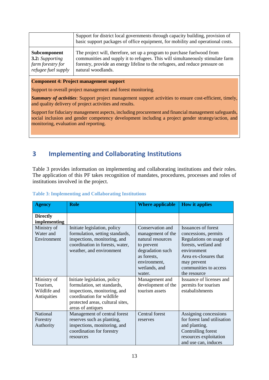|                        | Support for district local governments through capacity building, provision of<br>basic support packages of office equipment, for mobility and operational costs. |
|------------------------|-------------------------------------------------------------------------------------------------------------------------------------------------------------------|
| Subcomponent           | The project will, therefore, set up a program to purchase fuelwood from                                                                                           |
| <b>3.2:</b> Supporting | communities and supply it to refugees. This will simultaneously stimulate farm                                                                                    |
| farm forestry for      | forestry, provide an energy lifeline to the refugees, and reduce pressure on                                                                                      |
| refugee fuel supply    | natural woodlands.                                                                                                                                                |

#### **Component 4: Project management support**

Support to overall project management and forest monitoring.

*Summary of activities*: Support project management support activities to ensure cost-efficient, timely, and quality delivery of project activities and results.

Support for fiduciary management aspects, including procurement and financial management safeguards, social inclusion and gender competency development including a project gender strategy/action, and monitoring, evaluation and reporting.

# <span id="page-13-0"></span>**3 Implementing and Collaborating Institutions**

Table 3 provides information on implementing and collaborating institutions and their roles. The application of this PF takes recognition of mandates, procedures, processes and roles of institutions involved in the project.

| <b>Agency</b>                                          | <b>Role</b>                                                                                                                                                                                    | <b>Where applicable</b>                                                                                                                                                  | <b>How it applies</b>                                                                                                                                                                                                      |
|--------------------------------------------------------|------------------------------------------------------------------------------------------------------------------------------------------------------------------------------------------------|--------------------------------------------------------------------------------------------------------------------------------------------------------------------------|----------------------------------------------------------------------------------------------------------------------------------------------------------------------------------------------------------------------------|
| <b>Directly</b><br>implementing                        |                                                                                                                                                                                                |                                                                                                                                                                          |                                                                                                                                                                                                                            |
| Ministry of<br>Water and<br>Environment<br>Ministry of | Initiate legislation, policy<br>formulation, setting standards,<br>inspections, monitoring, and<br>coordination in forests, water,<br>weather, and environment<br>Initiate legislation, policy | Conservation and<br>management of the<br>natural resources<br>to prevent<br>degradation such<br>as forests,<br>environment,<br>wetlands, and<br>water.<br>Management and | Issuances of forest<br>concessions, permits<br>Regulations on usage of<br>forests, wetland and<br>environment<br>Area ex-closures that<br>may prevent<br>communities to access<br>the resource<br>Issuance of licenses and |
| Tourism,<br>Wildlife and<br>Antiquities                | formulation, set standards,<br>inspections, monitoring, and<br>coordination for wildlife<br>protected areas, cultural sites,<br>areas of antiques                                              | development of the<br>tourism assets                                                                                                                                     | permits for tourism<br>estabalishments                                                                                                                                                                                     |
| National<br>Forestry<br>Authority                      | Management of central forest<br>reserves such as planting,<br>inspections, monitoring, and<br>coordination for forestry<br>resources                                                           | Central forest<br>reserves                                                                                                                                               | Assigning concessions<br>for forest land utilisation<br>and planting.<br>Controlling forest<br>resources exploitation<br>and use can, induces                                                                              |

#### <span id="page-13-1"></span>**Table 3: Implementing and Collaborating Institutions**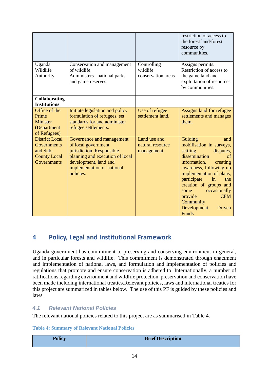|                                                                                               |                                                                                                                                                                                      |                                                | restriction of access to<br>the forest land/forest<br>resource by<br>communities.                                                                                                                                                                                                                                                   |
|-----------------------------------------------------------------------------------------------|--------------------------------------------------------------------------------------------------------------------------------------------------------------------------------------|------------------------------------------------|-------------------------------------------------------------------------------------------------------------------------------------------------------------------------------------------------------------------------------------------------------------------------------------------------------------------------------------|
| Uganda<br>Wildlife<br>Authority                                                               | Conservation and management<br>of wildlife.<br>Administers national parks<br>and game reserves.                                                                                      | Controlling<br>wildlife<br>conservation areas  | Assigns permits.<br>Restriction of access to<br>the game land and<br>exploitation of resources<br>by communities.                                                                                                                                                                                                                   |
| <b>Collaborating</b><br><b>Institutions</b>                                                   |                                                                                                                                                                                      |                                                |                                                                                                                                                                                                                                                                                                                                     |
| Office of the<br>Prime<br>Minister<br>(Department<br>of Refugees)                             | Initiate legislation and policy<br>formulation of refugees, set<br>standards for and administer<br>refugee settlements.                                                              | Use of refugee<br>settlement land.             | Assigns land for refugee<br>settlements and manages<br>them.                                                                                                                                                                                                                                                                        |
| <b>District Local</b><br>Governments<br>and Sub-<br><b>County Local</b><br><b>Governments</b> | Governance and management<br>of local government<br>jurisdiction. Responsible<br>planning and execution of local<br>development, land and<br>implementation of national<br>policies. | Land use and<br>natural resource<br>management | Guiding<br>and<br>mobilisation in surveys,<br>settling<br>disputes,<br>dissemination<br>of<br>information,<br>creating<br>awareness, following up<br>implementation of plans,<br>participate<br>in<br>the<br>creation of groups and<br>occasionally<br>some<br><b>CFM</b><br>provide<br>Community<br>Development<br>Driven<br>Funds |

# <span id="page-14-0"></span>**4 Policy, Legal and Institutional Framework**

Uganda government has commitment to preserving and conserving environment in general, and in particular forests and wildlife. This commitment is demonstrated through enactment and implementation of national laws, and formulation and implementation of policies and regulations that promote and ensure conservation is adhered to. Internationally, a number of ratifications regarding environment and wildlife protection, preservation and conservation have been made including international treaties.Relevant policies, laws and international treaties for this project are summarized in tables below. The use of this PF is guided by these policies and laws.

### <span id="page-14-1"></span>*4.1 Relevant National Policies*

The relevant national policies related to this project are as summarised in Table 4.

#### <span id="page-14-2"></span>**Table 4: Summary of Relevant National Policies**

| <b>Policy</b> | <b>Brief Description</b> |
|---------------|--------------------------|
|               |                          |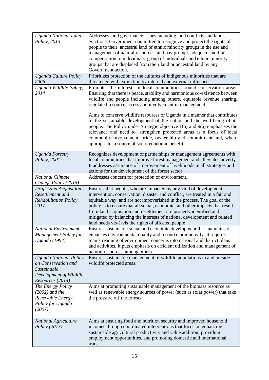| Uganda National Land<br>Policy, 2013                                                                               | Addresses land governance issues including land conflicts and land<br>evictions. Government committed to recognize and protect the rights of<br>people to their ancestral land of ethnic minority groups in the use and<br>management of natural resources, and pay prompt, adequate and fair<br>compensation to individuals, group of individuals and ethnic minority<br>groups that are displaced from their land or ancestral land by any<br>Government action.                                                  |
|--------------------------------------------------------------------------------------------------------------------|---------------------------------------------------------------------------------------------------------------------------------------------------------------------------------------------------------------------------------------------------------------------------------------------------------------------------------------------------------------------------------------------------------------------------------------------------------------------------------------------------------------------|
| Uganda Culture Policy,<br>2006                                                                                     | Prioritizes protection of the cultures of indigenous minorities that are<br>threatened with extinction by internal and external influences.                                                                                                                                                                                                                                                                                                                                                                         |
| Uganda Wildlife Policy,<br>2014                                                                                    | Promotes the interests of local communities around conservation areas.<br>Ensuring that there is peace, stability and harmonious co-existence between<br>wildlife and people including among others, equitable revenue sharing,<br>regulated resource access and involvement in management.                                                                                                                                                                                                                         |
|                                                                                                                    | Aims to conserve wildlife resources of Uganda in a manner that contributes<br>to the sustainable development of the nation and the well-being of its<br>people. The Policy under Strategic objective 1(h) and 9(a) emphasises the<br>relevance and need to 'strengthen protected areas as a focus of local<br>community involvement, pride, ownership and commitment and, where<br>appropriate, a source of socio-economic benefit.                                                                                 |
| <b>Uganda Forestry</b><br>Policy, 2001                                                                             | Recognizes development of partnerships or management agreements with<br>local communities that improve forest management and alleviates poverty.<br>It addresses assurance of improvement of livelihoods in all strategies and<br>actions for the development of the forest sector.                                                                                                                                                                                                                                 |
| <b>National Climate</b><br>Change Policy (2015)                                                                    | Addresses concern for protection of environment.                                                                                                                                                                                                                                                                                                                                                                                                                                                                    |
| Draft Land Acquisition,<br>Resettlement and<br>Rehabilitation Policy,<br>2017                                      | Ensures that people, who are impacted by any kind of development<br>intervention, conservation, disaster and conflict, are treated in a fair and<br>equitable way, and are not impoverished in the process. The goal of the<br>policy is to ensure that all social, economic, and other impacts that result<br>from land acquisition and resettlement are properly identified and<br>mitigated by balancing the interests of national development and related<br>land needs vis-à-vis the rights of affected people |
| National Environment<br><b>Management Policy for</b><br><b>Uganda</b> (1994)                                       | Ensures sustainable social and economic development that maintains or<br>enhances environmental quality and resource productivity. It requires<br>mainstreaming of environment concerns into national and district plans<br>and activities. It puts emphasis on efficient utilization and management of<br>natural resources, among others.                                                                                                                                                                         |
| <b>Uganda National Policy</b><br>on Conservation and<br>Sustainable<br>Development of Wildlife<br>Resources (2014) | Ensures sustainable management of wildlife populations in and outside<br>wildlife protected areas.                                                                                                                                                                                                                                                                                                                                                                                                                  |
| The Energy Policy<br>$(2002)$ and the<br>Renewable Energy<br>Policy for Uganda<br>(2007)                           | Aims at promoting sustainable management of the biomass resource as<br>well as renewable energy sources of power (such as solar power) that take<br>the pressure off the forests.                                                                                                                                                                                                                                                                                                                                   |
| <b>National Agriculture</b><br><i>Policy (2013)</i>                                                                | Aims at ensuring food and nutrition security and improved household<br>incomes through coordinated interventions that focus on enhancing<br>sustainable agricultural productivity and value addition; providing<br>employment opportunities, and promoting domestic and international<br>trade.                                                                                                                                                                                                                     |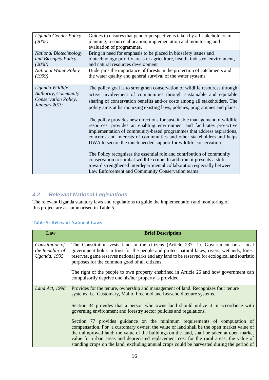| Uganda Gender Policy                                                            | Guides to ensures that gender perspective is taken by all stakeholders in                                                                                                                                                                                                                                                                                                   |
|---------------------------------------------------------------------------------|-----------------------------------------------------------------------------------------------------------------------------------------------------------------------------------------------------------------------------------------------------------------------------------------------------------------------------------------------------------------------------|
| (2005)                                                                          | planning, resource allocation, implementation and monitoring and                                                                                                                                                                                                                                                                                                            |
|                                                                                 | evaluation of programmes.                                                                                                                                                                                                                                                                                                                                                   |
| <b>National Biotechnology</b><br>and Biosafety Policy                           | Bring in need for emphasis to be placed in biosafety issues and<br>biotechnology priority areas of agriculture, health, industry, environment,                                                                                                                                                                                                                              |
| (2008)                                                                          | and natural resources development                                                                                                                                                                                                                                                                                                                                           |
| <b>National Water Policy</b><br>(1999)                                          | Underpins the importance of forests in the protection of catchments and<br>the water quality and general survival of the water systems.                                                                                                                                                                                                                                     |
| Uganda Wildlife<br>Authority, Community<br>Conservation Policy,<br>January 2019 | The policy goal is to strengthen conservation of wildlife resources through<br>active involvement of communities through sustainable and equitable<br>sharing of conservation benefits and/or costs among all stakeholders. The<br>policy aims at harmonizing existing laws, policies, programmes and plans.                                                                |
|                                                                                 | The policy provides new directions for sustainable management of wildlife<br>resources, provides an enabling environment and facilitates pro-active<br>implementation of community-based programmes that address aspirations,<br>concerns and interests of communities and other stakeholders and helps<br>UWA to secure the much needed support for wildlife conservation. |
|                                                                                 | The Policy recognises the essential role and contribution of community<br>conservation to combat wildlife crime. In addition, it presents a shift<br>toward strengthened interdepartmental collaboration especially between<br>Law Enforcement and Community Conservation teams.                                                                                            |

### <span id="page-16-0"></span>*4.2 Relevant National Legislations*

The relevant Uganda statutory laws and regulations to guide the implementation and monitoring of this project are as summarised in Table 5.

#### <span id="page-16-1"></span>**Table 5: Relevant National Laws**

| Law                                                        | <b>Brief Description</b>                                                                                                                                                                                                                                                                                                                                                                                                                                       |
|------------------------------------------------------------|----------------------------------------------------------------------------------------------------------------------------------------------------------------------------------------------------------------------------------------------------------------------------------------------------------------------------------------------------------------------------------------------------------------------------------------------------------------|
| Constitution of<br>the Republic of<br><i>Uganda</i> , 1995 | The Constitution vests land in the citizens (Article 237: 1). Government or a local<br>government holds in trust for the people and protect natural lakes, rivers, wetlands, forest<br>reserves, game reserves national parks and any land to be reserved for ecological and touristic<br>purposes for the common good of all citizens.                                                                                                                        |
|                                                            | The right of the people to own property enshrined in Article 26 and how government can<br>compulsorily deprive one his/her property is provided.                                                                                                                                                                                                                                                                                                               |
| <b>Land Act, 1998</b>                                      | Provides for the tenure, ownership and management of land. Recognizes four tenure<br>systems, <i>i.e.</i> Customary, Mailo, Freehold and Leasehold tenure systems.                                                                                                                                                                                                                                                                                             |
|                                                            | Section 34 provides that a person who owns land should utilize it in accordance with<br>governing environment and forestry sector policies and regulations.                                                                                                                                                                                                                                                                                                    |
|                                                            | Section 77 provides guidance on the minimum requirements of computation of<br>compensation. For a customary owner, the value of land shall be the open market value of<br>the unimproved land; the value of the buildings on the land, shall be taken at open market<br>value for urban areas and depreciated replacement cost for the rural areas; the value of<br>standing crops on the land, excluding annual crops could be harvested during the period of |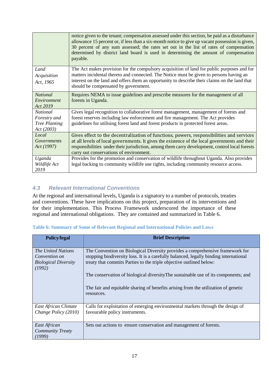|                                                                       | notice given to the tenant; compensation assessed under this section, be paid as a disturbance<br>allowance 15 percent or, if less than a six-month notice to give up vacant possession is given,<br>30 percent of any sum assessed; the rates set out in the list of rates of compensation<br>determined by district land board is used in determining the amount of compensation<br>payable. |
|-----------------------------------------------------------------------|------------------------------------------------------------------------------------------------------------------------------------------------------------------------------------------------------------------------------------------------------------------------------------------------------------------------------------------------------------------------------------------------|
| Land<br>Acquisition<br>Act, 1965                                      | The Act makes provision for the compulsory acquisition of land for public purposes and for<br>matters incidental thereto and connected. The Notice must be given to persons having an<br>interest on the land and offers them an opportunity to describe their claims on the land that<br>should be compensated by government.                                                                 |
| <b>National</b><br>Environment<br>Act 2019                            | Requires NEMA to issue guidelines and prescribe measures for the management of all<br>forests in Uganda.                                                                                                                                                                                                                                                                                       |
| <b>National</b><br>Forestry and<br><b>Tree Planting</b><br>Act (2003) | Gives legal recognition to collaborative forest management, management of forests and<br>forest reserves including law enforcement and fire management. The Act provides<br>guidelines for utilising forest land and forest products in protected forest areas.                                                                                                                                |
| Local<br>Governments<br>Act (1997)                                    | Gives effect to the decentralization of functions, powers, responsibilities and services<br>at all levels of local governments. It gives the existence of the local governments and their<br>responsibilities under their jurisdiction, among them carry development, control local forests<br>carry out conservations of environment.                                                         |
| Uganda<br>Wildlife Act<br>2019                                        | Provides for the promotion and conservation of wildlife throughout Uganda. Also provides<br>legal backing to community wildlife use rights, including community resource access.                                                                                                                                                                                                               |

### <span id="page-17-0"></span>*4.3 Relevant International Conventions*

At the regional and international levels, Uganda is a signatory to a number of protocols, treaties and conventions. These have implications on this project, preparation of its interventions and for their implementation. This Process Framework underscored the importance of these regional and international obligations. They are contained and summarized in Table 6.

<span id="page-17-1"></span>

| <b>Table 6: Summary of Some of Relevant Regional and International Policies and Laws</b> |  |  |  |  |  |  |  |  |
|------------------------------------------------------------------------------------------|--|--|--|--|--|--|--|--|
|------------------------------------------------------------------------------------------|--|--|--|--|--|--|--|--|

| <b>Policy/legal</b>                                                                 | <b>Brief Description</b>                                                                                                                                                                                                                      |
|-------------------------------------------------------------------------------------|-----------------------------------------------------------------------------------------------------------------------------------------------------------------------------------------------------------------------------------------------|
| <i>The United Nations</i><br>Convention on<br><b>Biological Diversity</b><br>(1992) | The Convention on Biological Diversity provides a comprehensive framework for<br>stopping biodiversity loss. It is a carefully balanced, legally binding international<br>treaty that commits Parties to the triple objective outlined below: |
|                                                                                     | The conservation of biological diversity The sustainable use of its components; and<br>The fair and equitable sharing of benefits arising from the utilization of genetic<br>resources.                                                       |
| East African Climate<br>Change Policy (2010)                                        | Calls for exploitation of emerging environmental markets through the design of<br>favourable policy instruments.                                                                                                                              |
| East African<br><b>Community Treaty</b><br>(1999)                                   | Sets out actions to ensure conservation and management of forests.                                                                                                                                                                            |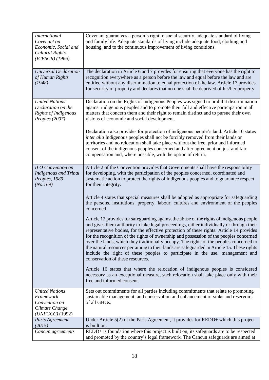| <b>International</b><br>Covenant on<br>Economic, Social and<br>Cultural Rights<br>$(ICESCR)$ $(1966)$ | Covenant guarantees a person's right to social security, adequate standard of living<br>and family life. Adequate standards of living include adequate food, clothing and<br>housing, and to the continuous improvement of living conditions.                                                                                                                                                                                                                                                                                                                                                                                                                                             |
|-------------------------------------------------------------------------------------------------------|-------------------------------------------------------------------------------------------------------------------------------------------------------------------------------------------------------------------------------------------------------------------------------------------------------------------------------------------------------------------------------------------------------------------------------------------------------------------------------------------------------------------------------------------------------------------------------------------------------------------------------------------------------------------------------------------|
| <b>Universal Declaration</b><br>of Human Rights<br>(1948)                                             | The declaration in Article 6 and 7 provides for ensuring that everyone has the right to<br>recognition everywhere as a person before the law and equal before the law and are<br>entitled without any discrimination to equal protection of the law. Article 17 provides<br>for security of property and declares that no one shall be deprived of his/her property.                                                                                                                                                                                                                                                                                                                      |
| <b>United Nations</b><br>Declaration on the<br>Rights of Indigenous<br>Peoples (2007)                 | Declaration on the Rights of Indigenous Peoples was signed to prohibit discrimination<br>against indigenous peoples and to promote their full and effective participation in all<br>matters that concern them and their right to remain distinct and to pursue their own<br>visions of economic and social development.                                                                                                                                                                                                                                                                                                                                                                   |
|                                                                                                       | Declaration also provides for protection of indigenous people's land. Article 10 states<br>inter alia Indigenous peoples shall not be forcibly removed from their lands or<br>territories and no relocation shall take place without the free, prior and informed<br>consent of the indigenous peoples concerned and after agreement on just and fair<br>compensation and, where possible, with the option of return.                                                                                                                                                                                                                                                                     |
| ILO Convention on<br><b>Indigenous and Tribal</b><br>Peoples, 1989<br>(No.169)                        | Article 2 of the Convention provides that Governments shall have the responsibility<br>for developing, with the participation of the peoples concerned, coordinated and<br>systematic action to protect the rights of indigenous peoples and to guarantee respect<br>for their integrity.                                                                                                                                                                                                                                                                                                                                                                                                 |
|                                                                                                       | Article 4 states that special measures shall be adopted as appropriate for safeguarding<br>the persons, institutions, property, labour, cultures and environment of the peoples<br>concerned.                                                                                                                                                                                                                                                                                                                                                                                                                                                                                             |
|                                                                                                       | Article 12 provides for safeguarding against the abuse of the rights of indigenous people<br>and gives them authority to take legal proceedings, either individually or through their<br>representative bodies, for the effective protection of these rights. Article 14 provides<br>for the recognition of the rights of ownership and possession of the peoples concerned<br>over the lands, which they traditionally occupy. The rights of the peoples concerned to<br>the natural resources pertaining to their lands are safeguarded in Article 15. These rights<br>include the right of these peoples to participate in the use, management and<br>conservation of these resources. |
|                                                                                                       | Article 16 states that where the relocation of indigenous peoples is considered<br>necessary as an exceptional measure, such relocation shall take place only with their<br>free and informed consent.                                                                                                                                                                                                                                                                                                                                                                                                                                                                                    |
| <b>United Nations</b><br>Framework<br>Convention on<br>Climate Change<br>(UNFCCC) (1992)              | Sets out commitments for all parties including commitments that relate to promoting<br>sustainable management, and conservation and enhancement of sinks and reservoirs<br>of all GHGs.                                                                                                                                                                                                                                                                                                                                                                                                                                                                                                   |
| Paris Agreement<br>(2015)                                                                             | Under Article 5(2) of the Paris Agreement, it provides for REDD+ which this project<br>is built on.                                                                                                                                                                                                                                                                                                                                                                                                                                                                                                                                                                                       |
| Cancun agreements                                                                                     | REDD+ is foundation where this project is built on, its safeguards are to be respected<br>and promoted by the country's legal framework. The Cancun safeguards are aimed at                                                                                                                                                                                                                                                                                                                                                                                                                                                                                                               |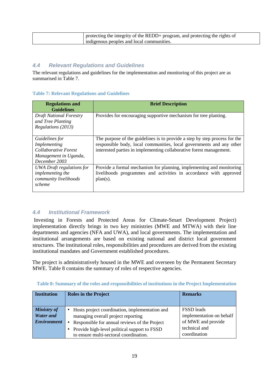| protecting the integrity of the REDD+ program, and protecting the rights of |
|-----------------------------------------------------------------------------|
| indigenous peoples and local communities.                                   |

#### <span id="page-19-0"></span>*4.4 Relevant Regulations and Guidelines*

The relevant regulations and guidelines for the implementation and monitoring of this project are as summarised in Table 7.

#### <span id="page-19-2"></span>**Table 7: Relevant Regulations and Guidelines**

| <b>Regulations and</b><br><b>Guidelines</b>                                                      | <b>Brief Description</b>                                                                                                                                                                                                  |
|--------------------------------------------------------------------------------------------------|---------------------------------------------------------------------------------------------------------------------------------------------------------------------------------------------------------------------------|
| <b>Draft National Forestry</b><br>and Tree Planting<br>Regulations (2013)                        | Provides for encouraging supportive mechanism for tree planting.                                                                                                                                                          |
| Guidelines for<br>Implementing<br>Collaborative Forest<br>Management in Uganda,<br>December 2003 | The purpose of the guidelines is to provide a step by step process for the<br>responsible body, local communities, local governments and any other<br>interested parties in implementing collaborative forest management. |
| UWA Draft regulations for<br><i>implementing the</i><br>community livelihoods<br>scheme          | Provide a formal mechanism for planning, implementing and monitoring<br>livelihoods programmes and activities in accordance with approved<br>$plan(s)$ .                                                                  |

#### <span id="page-19-1"></span>*4.4 Institutional Framework*

Investing in Forests and Protected Areas for Climate-Smart Development Project) implementation directly brings in two key ministries (MWE and MTWA) with their line departments and agencies (NFA and UWA), and local governments. The implementation and institutional arrangements are based on existing national and district local government structures. The institutional roles, responsibilities and procedures are derived from the existing institutional mandates and Government established procedures.

The project is administratively housed in the MWE and overseen by the Permanent Secretary MWE. Table 8 contains the summary of roles of respective agencies.

| <b>Institution</b>                                           | <b>Roles in the Project</b>                                                                                                                                                                                                                            | <b>Remarks</b>                                                                                       |
|--------------------------------------------------------------|--------------------------------------------------------------------------------------------------------------------------------------------------------------------------------------------------------------------------------------------------------|------------------------------------------------------------------------------------------------------|
| <b>Ministry of</b><br><b>Water and</b><br><b>Environment</b> | Hosts project coordination, implementation and<br>٠<br>managing overall project reporting<br>Responsible for annual reviews of the Project<br>$\bullet$<br>Provide high-level political support to FSSD<br>٠<br>to ensure multi-sectoral coordination. | <b>FSSD</b> leads<br>implementation on behalf<br>of MWE and provide<br>technical and<br>coordination |

<span id="page-19-3"></span> **Table 8: Summary of the roles and responsibilities of institutions in the Project Implementation**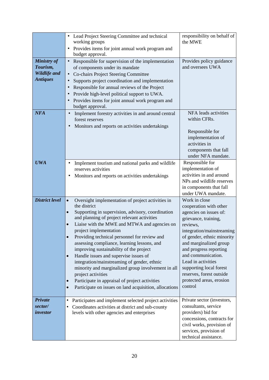|                                                                   | Lead Project Steering Committee and technical<br>٠<br>working groups<br>Provides items for joint annual work program and<br>٠<br>budget approval.                                                                                                                                                                                                                                                                                                                                                                                                                                                                                                                                                                                                                    | responsibility on behalf of<br>the MWE                                                                                                                                                                                                                                                                                                                         |
|-------------------------------------------------------------------|----------------------------------------------------------------------------------------------------------------------------------------------------------------------------------------------------------------------------------------------------------------------------------------------------------------------------------------------------------------------------------------------------------------------------------------------------------------------------------------------------------------------------------------------------------------------------------------------------------------------------------------------------------------------------------------------------------------------------------------------------------------------|----------------------------------------------------------------------------------------------------------------------------------------------------------------------------------------------------------------------------------------------------------------------------------------------------------------------------------------------------------------|
| <b>Ministry of</b><br>Tourism,<br>Wildlife and<br><b>Antiques</b> | Responsible for supervision of the implementation<br>$\bullet$<br>of components under its mandate<br>Co-chairs Project Steering Committee<br>Supports project coordination and implementation<br>Responsible for annual reviews of the Project<br>Provide high-level political support to UWA.<br>Provides items for joint annual work program and<br>budget approval.                                                                                                                                                                                                                                                                                                                                                                                               | Provides policy guidance<br>and oversees UWA                                                                                                                                                                                                                                                                                                                   |
| <b>NFA</b>                                                        | Implement forestry activities in and around central<br>$\bullet$<br>forest reserves<br>Monitors and reports on activities undertakings<br>$\bullet$                                                                                                                                                                                                                                                                                                                                                                                                                                                                                                                                                                                                                  | NFA leads activities<br>within CFRs.<br>Responsible for<br>implementation of<br>activities in<br>components that fall<br>under NFA mandate.                                                                                                                                                                                                                    |
| <b>UWA</b>                                                        | Implement tourism and national parks and wildlife<br>٠<br>reserves activities<br>Monitors and reports on activities undertakings<br>٠                                                                                                                                                                                                                                                                                                                                                                                                                                                                                                                                                                                                                                | Responsible for<br>implementation of<br>activities in and around<br>NPs and wildlife reserves<br>in components that fall<br>under UWA mandate.                                                                                                                                                                                                                 |
| <b>District level</b>                                             | Oversight implementation of project activities in<br>$\bullet$<br>the district<br>Supporting in supervision, advisory, coordination<br>$\bullet$<br>and planning of project relevant activities<br>Liaise with the MWE and MTWA and agencies on<br>$\bullet$<br>project implementation<br>Providing technical personnel for review and<br>$\bullet$<br>assessing compliance, learning lessons, and<br>improving sustainability of the project<br>Handle issues and supervise issues of<br>$\bullet$<br>integration/mainstreaming of gender, ethnic<br>minority and marginalized group involvement in all<br>project activities<br>Participate in appraisal of project activities<br>$\bullet$<br>Participate on issues on land acquisition, allocations<br>$\bullet$ | Work in close<br>cooperation with other<br>agencies on issues of:<br>grievance, training,<br>reviews.<br>integration/mainstreaming<br>of gender, ethnic minority<br>and marginalized group<br>and progress reporting<br>and communication.<br>Lead in activities<br>supporting local forest<br>reserves, forest outside<br>protected areas, erosion<br>control |
| Private<br>sector/<br>investor                                    | Participates and implement selected project activities<br>٠<br>Coordinates activities at district and sub-county<br>levels with other agencies and enterprises                                                                                                                                                                                                                                                                                                                                                                                                                                                                                                                                                                                                       | Private sector (investors,<br>consultants, service<br>providers) bid for<br>concessions, contracts for<br>civil works, provision of<br>services, provision of<br>technical assistance.                                                                                                                                                                         |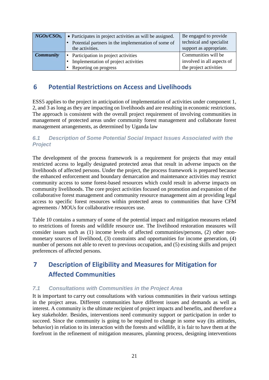| NGOs/CSOS,       | • Participates in project activities as will be assigned.<br>Potential partners in the implementation of some of<br>the activities. | Be engaged to provide<br>technical and specialist<br>support as appropriate. |
|------------------|-------------------------------------------------------------------------------------------------------------------------------------|------------------------------------------------------------------------------|
| <b>Community</b> | Participation in project activities<br>$\bullet$                                                                                    | Communities will be                                                          |
|                  | Implementation of project activities                                                                                                | involved in all aspects of                                                   |
|                  | Reporting on progress                                                                                                               | the project activities                                                       |

# <span id="page-21-0"></span>**6 Potential Restrictions on Access and Livelihoods**

ESS5 applies to the project in anticipation of implementation of activities under component 1, 2, and 3 as long as they are impacting on livelihoods and are resulting in economic restrictions. The approach is consistent with the overall project requirement of involving communities in management of protected areas under community forest management and collaborate forest management arrangements, as determined by Uganda law

### <span id="page-21-1"></span>*6.1 Description of Some Potential Social Impact Issues Associated with the Project*

The development of the process framework is a requirement for projects that may entail restricted access to legally designated protected areas that result in adverse impacts on the livelihoods of affected persons. Under the project, the process framework is prepared because the enhanced enforcement and boundary demarcation and maintenance activities may restrict community access to some forest-based resources which could result in adverse impacts on community livelihoods. The core project activities focused on promotion and expansion of the collaborative forest management and community resource management aim at providing legal access to specific forest resources within protected areas to communities that have CFM agreements / MOUs for collaborative resources use.

Table 10 contains a summary of some of the potential impact and mitigation measures related to restrictions of forests and wildlife resource use. The livelihood restoration measures will consider issues such as (1) income levels of affected communities/persons, (2) other nonmonetary sources of livelihood, (3) constraints and opportunities for income generation, (4) number of persons not able to revert to previous occupation, and (5) existing skills and project preferences of affected persons.

# <span id="page-21-2"></span>**7 Description of Eligibility and Measures for Mitigation for Affected Communities**

### <span id="page-21-3"></span>*7.1 Consultations with Communities in the Project Area*

It is important to carry out consultations with various communities in their various settings in the project areas. Different communities have different issues and demands as well as interest. A community is the ultimate recipient of project impacts and benefits, and therefore a key stakeholder. Besides, interventions need community support or participation in order to succeed. Since the community is going to be required to change in some way (its attitudes, behavior) in relation to its interaction with the forests and wildlife, it is fair to have them at the forefront in the refinement of mitigation measures, planning process, designing interventions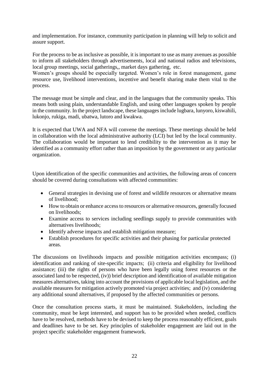and implementation. For instance, community participation in planning will help to solicit and assure support.

For the process to be as inclusive as possible, it is important to use as many avenues as possible to inform all stakeholders through advertisements, local and national radios and televisions, local group meetings, social gatherings,, market days gathering, etc.

Women's groups should be especially targeted. Women's role in forest management, game resource use, livelihood interventions, incentive and benefit sharing make them vital to the process.

The message must be simple and clear, and in the languages that the community speaks. This means both using plain, understandable English, and using other languages spoken by people in the community. In the project landscape, these languages include lugbara, lunyoro, kiswahili, lukonjo, rukiga, madi, ubatwa, lutoro and kwakwa.

It is expected that UWA and NFA will convene the meetings. These meetings should be held in collaboration with the local administrative authority (LCI) but led by the local community. The collaboration would be important to lend credibility to the intervention as it may be identified as a community effort rather than an imposition by the government or any particular organization.

Upon identification of the specific communities and activities, the following areas of concern should be covered during consultations with affected communities:

- General strategies in devising use of forest and wildlife resources or alternative means of livelihood;
- How to obtain or enhance access to resources or alternative resources, generally focused on livelihoods;
- Examine access to services including seedlings supply to provide communities with alternatives livelihoods;
- Identify adverse impacts and establish mitigation measure;
- Establish procedures for specific activities and their phasing for particular protected areas.

The discussions on livelihoods impacts and possible mitigation activities encompass; (i) identification and ranking of site-specific impacts; (ii) criteria and eligibility for livelihood assistance; (iii) the rights of persons who have been legally using forest resources or the associated land to be respected, (iv)) brief description and identification of available mitigation measures alternatives, taking into account the provisions of applicable local legislation, and the available measures for mitigation actively promoted via project activities; and (iv) considering any additional sound alternatives, if proposed by the affected communities or persons.

Once the consultation process starts, it must be maintained. Stakeholders, including the community, must be kept interested, and support has to be provided when needed, conflicts have to be resolved, methods have to be devised to keep the process reasonably efficient, goals and deadlines have to be set. Key principles of stakeholder engagement are laid out in the project specific stakeholder engagement framework.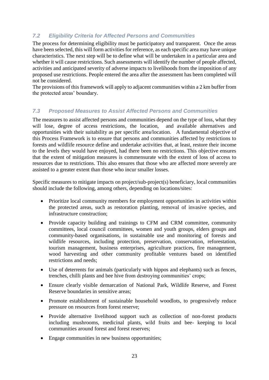### <span id="page-23-0"></span>*7.2 Eligibility Criteria for Affected Persons and Communities*

The process for determining eligibility must be participatory and transparent. Once the areas have been selected, this will form activities for reference, as each specific area may have unique characteristics. The next step will be to define what will be undertaken in a particular area and whether it will cause restrictions. Such assessments will identify the number of people affected, activities and anticipated severity of adverse impacts to livelihoods from the imposition of any proposed use restrictions. People entered the area after the assessment has been completed will not be considered.

The provisions of this framework will apply to adjacent communities within a 2 km buffer from the protected areas' boundary.

### <span id="page-23-1"></span>*7.3 Proposed Measures to Assist Affected Persons and Communities*

The measures to assist affected persons and communities depend on the type of loss, what they will lose, degree of access restrictions, the location, and available alternatives and opportunities with their suitability as per specific area/location. A fundamental objective of this Process Framework is to ensure that persons and communities affected by restrictions to forests and wildlife resource define and undertake activities that, at least, restore their income to the levels they would have enjoyed, had there been no restrictions. This objective ensures that the extent of mitigation measures is commensurate with the extent of loss of access to resources due to restrictions. This also ensures that those who are affected more severely are assisted to a greater extent than those who incur smaller losses.

Specific measures to mitigate impacts on project/sub-project(s) beneficiary, local communities should include the following, among others, depending on locations/sites:

- Prioritize local community members for employment opportunities in activities within the protected areas, such as restoration planting, removal of invasive species, and infrastructure construction;
- Provide capacity building and trainings to CFM and CRM committee, community committees, local council committees, women and youth groups, elders groups and community-based organisations, in sustainable use and monitoring of forests and wildlife resources, including protection, preservation, conservation, reforestation, tourism management, business enterprises, agriculture practices, fire management, wood harvesting and other community profitable ventures based on identified restrictions and needs;
- Use of deterrents for animals (particularly with hippos and elephants) such as fences, trenches, chilli plants and bee hive from destroying communities' crops;
- Ensure clearly visible demarcation of National Park, Wildlife Reserve, and Forest Reserve boundaries in sensitive areas;
- Promote establishment of sustainable household woodlots, to progressively reduce pressure on resources from forest reserve;
- Provide alternative livelihood support such as collection of non-forest products including mushrooms, medicinal plants, wild fruits and bee- keeping to local communities around forest and forest reserves;
- Engage communities in new business opportunities;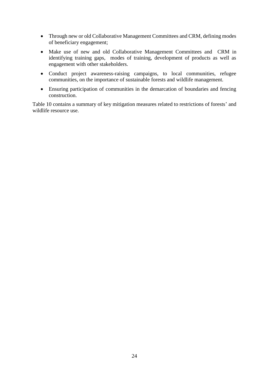- Through new or old Collaborative Management Committees and CRM, defining modes of beneficiary engagement;
- Make use of new and old Collaborative Management Committees and CRM in identifying training gaps, modes of training, development of products as well as engagement with other stakeholders.
- Conduct project awareness-raising campaigns, to local communities, refugee communities, on the importance of sustainable forests and wildlife management.
- Ensuring participation of communities in the demarcation of boundaries and fencing construction.

Table 10 contains a summary of key mitigation measures related to restrictions of forests' and wildlife resource use.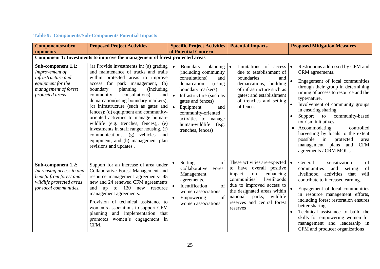<span id="page-25-0"></span>

| <b>Components/subco</b>                                                                                                                | <b>Proposed Project Activities</b>                                                                                                                                                                                                                                                                                                                                                                                                                                                                                                                                                                         | <b>Specific Project Activities</b><br>of Potential Concern                                                                                                                                                                                                                                                                 | <b>Potential Impacts</b>                                                                                                                                                                                                                                       | <b>Proposed Mitigation Measures</b>                                                                                                                                                                                                                                                                                                                                                                                                                                                                  |
|----------------------------------------------------------------------------------------------------------------------------------------|------------------------------------------------------------------------------------------------------------------------------------------------------------------------------------------------------------------------------------------------------------------------------------------------------------------------------------------------------------------------------------------------------------------------------------------------------------------------------------------------------------------------------------------------------------------------------------------------------------|----------------------------------------------------------------------------------------------------------------------------------------------------------------------------------------------------------------------------------------------------------------------------------------------------------------------------|----------------------------------------------------------------------------------------------------------------------------------------------------------------------------------------------------------------------------------------------------------------|------------------------------------------------------------------------------------------------------------------------------------------------------------------------------------------------------------------------------------------------------------------------------------------------------------------------------------------------------------------------------------------------------------------------------------------------------------------------------------------------------|
| mponents                                                                                                                               | Component 1: Investments to improve the management of forest protected areas                                                                                                                                                                                                                                                                                                                                                                                                                                                                                                                               |                                                                                                                                                                                                                                                                                                                            |                                                                                                                                                                                                                                                                |                                                                                                                                                                                                                                                                                                                                                                                                                                                                                                      |
| <b>Sub-component 1.1:</b><br>Improvement of<br>infrastructure and<br>equipment for the<br>management of forest<br>protected areas      | (a) Provide investments in: (a) grading<br>and maintenance of tracks and trails<br>within protected areas to improve<br>access for park management,<br>(b)<br>planning<br><i>(including)</i><br>boundary<br>consultations)<br>community<br>and<br>demarcation(using boundary markers),<br>(c) infrastructure (such as gates and<br>fences); (d) equipment and community-<br>oriented activities to manage human-<br>wildlife (e.g. trenches, fences),, (e)<br>investments in staff ranger housing, (f)<br>communications, (g) vehicles and<br>equipment, and (h) management plan<br>revisions and updates. | planning $\bullet$<br>Boundary<br>$\bullet$<br>(including community<br>consultations)<br>and<br>demarcation<br>(using)<br>boundary markers)<br>Infrastructure (such as<br>gates and fences)<br>$\bullet$<br>Equipment<br>and<br>community-oriented<br>activities to manage<br>human-wildlife<br>(e.g.<br>trenches, fences) | Limitations of access<br>due to establishment of<br>boundaries<br>and<br>building<br>demarcations;<br>of infrastructure such as<br>gates; and establishment<br>of trenches and setting<br>of fences                                                            | Restrictions addressed by CFM and<br>$\bullet$<br>CRM agreements.<br>Engagement of local communities<br>through their group in determining<br>timing of access to resource and the<br>type/nature.<br>Involvement of community groups<br>in ensuring sharing<br>Support<br>community-based<br>to<br>tourism initiatives.<br>Accommodating<br>controlled<br>harvesting by locals to the extent<br>possible<br>protected<br>in<br>area<br><b>CFM</b><br>management plans and<br>agreements / CRM MOUs. |
| <b>Sub-component 1.2:</b><br>Increasing access to and<br>benefit from forest and<br>wildlife protected areas<br>for local communities. | Support for an increase of area under<br>Collaborative Forest Management and<br>resource management agreements- 45<br>new and 24 renewed CFM agreements<br>and up to 120 new resource<br>management agreements.<br>Provision of technical assistance to<br>women's associations to support CFM<br>planning and implementation that<br>promotes women's engagement in<br>CFM.                                                                                                                                                                                                                               | Setting<br>of<br>Collaborative<br>Forest<br>Management<br>agreements.<br>Identification<br>of<br>women associations.<br>of<br>Empowering<br>women associations                                                                                                                                                             | These activities are expected<br>to have overall positive<br>enhancing<br>impact<br>on<br>livelihoods<br>communities'<br>due to improved access to<br>the designated areas within<br>wildlife<br>national<br>parks,<br>reserves and central forest<br>reserves | of<br>$\bullet$<br>General<br>sensitization<br>of<br>communities<br>and<br>setting<br>livelihood<br>activities<br>will<br>that<br>contribute to increased earning.<br>Engagement of local communities<br>in resource management efforts,<br>including forest restoration ensures<br>better sharing<br>Technical assistance to build the<br>skills for empowering women for<br>management and leadership in<br>CFM and producer organizations                                                         |

## **Table 9: Components/Sub-Components Potential Impacts**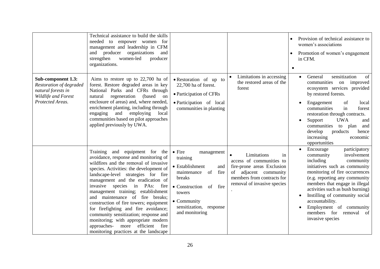|                                                                                                                | Technical assistance to build the skills<br>needed to empower women for<br>management and leadership in CFM<br>and producer organizations<br>and<br>strengthen<br>women-led<br>producer<br>organizations.                                                                                                                                                                                                                                                                                                                                                                                                   |                                                                                                                                                                                                                         |                                                                                                                                                                                | Provision of technical assistance to<br>women's associations<br>Promotion of women's engagement<br>in CFM.                                                                                                                                                                                                                                                                               |
|----------------------------------------------------------------------------------------------------------------|-------------------------------------------------------------------------------------------------------------------------------------------------------------------------------------------------------------------------------------------------------------------------------------------------------------------------------------------------------------------------------------------------------------------------------------------------------------------------------------------------------------------------------------------------------------------------------------------------------------|-------------------------------------------------------------------------------------------------------------------------------------------------------------------------------------------------------------------------|--------------------------------------------------------------------------------------------------------------------------------------------------------------------------------|------------------------------------------------------------------------------------------------------------------------------------------------------------------------------------------------------------------------------------------------------------------------------------------------------------------------------------------------------------------------------------------|
| Sub-component 1.3:<br>Restoration of degraded<br>natural forests in<br>Wildlife and Forest<br>Protected Areas. | Aims to restore up to $22,700$ ha of<br>forest. Restore degraded areas in key<br>National Parks and CFRs through<br>(based)<br>natural<br>regeneration<br>on<br>enclosure of areas) and, where needed,<br>enrichment planting, including through<br>engaging<br>and<br>employing<br>local<br>communities based on pilot approaches<br>applied previously by UWA.                                                                                                                                                                                                                                            | • Restoration of up to<br>22,700 ha of forest.<br>• Participation of CFRs<br>• Participation of local<br>communities in planting                                                                                        | Limitations in accessing<br>the restored areas of the<br>forest                                                                                                                | sensitization<br>General<br>of<br>$\bullet$<br>communities<br>on improved<br>ecosystem services provided<br>by restored forests.<br>Engagement<br>of<br>local<br>in<br>communities<br>forest<br>restoration through contracts.<br><b>UWA</b><br>Support<br>and<br>communities<br>to<br>and<br>plan<br>develop<br>products<br>hence<br>increasing<br>economic<br>opportunities            |
|                                                                                                                | Training and equipment for the<br>avoidance, response and monitoring of<br>wildfires and the removal of invasive<br>species. Activities: the development of<br>landscape-level strategies for fire<br>management and the eradication of<br>invasive species in PAs:<br>fire<br>management training; establishment<br>and maintenance of fire breaks;<br>construction of fire towers; equipment<br>for firefighting and fire avoidance;<br>community sensitization; response and<br>monitoring; with appropriate modern<br>approaches-<br>efficient<br>more<br>fire<br>monitoring practices at the landscape | $\bullet$ Fire<br>management<br>training<br>• Establishment<br>and<br>maintenance<br>of<br>fire<br>breaks<br>fire<br>• Construction<br>of<br>towers<br>$\bullet$ Community<br>sensitization, response<br>and monitoring | Limitations<br>$\bullet$<br>in<br>access of communities to<br>fire-prone areas Exclusion<br>of adjacent community<br>members from contracts for<br>removal of invasive species | Encourage<br>participatory<br>involvement<br>community<br>including<br>community<br>initiatives such as community<br>monitoring of fire occurrences<br>(e.g. reporting any community<br>members that engage in illegal<br>activities such as bush burning)<br>Instilling of community social<br>accountability.<br>Employment of community<br>members for removal of<br>invasive species |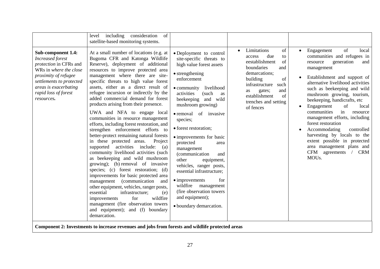|                                                                                                                                                                                                                             | including consideration<br>of<br>level<br>satellite-based monitoring systems.                                                                                                                                                                                                                                                                                                                                                                                                                                                                                                                                                                                                                                                                                                                                                                                                                                                                                                                                                                                                                                                                                     |                                                                                                                                                                                                                                                                                                                                                                                                                                                                                                                                                                                                                                 |                                                                                                                                                                                                                                                    |                                                                                                                                                                                                                                                                                                                                                                                                                                                                                                                                                                                                               |
|-----------------------------------------------------------------------------------------------------------------------------------------------------------------------------------------------------------------------------|-------------------------------------------------------------------------------------------------------------------------------------------------------------------------------------------------------------------------------------------------------------------------------------------------------------------------------------------------------------------------------------------------------------------------------------------------------------------------------------------------------------------------------------------------------------------------------------------------------------------------------------------------------------------------------------------------------------------------------------------------------------------------------------------------------------------------------------------------------------------------------------------------------------------------------------------------------------------------------------------------------------------------------------------------------------------------------------------------------------------------------------------------------------------|---------------------------------------------------------------------------------------------------------------------------------------------------------------------------------------------------------------------------------------------------------------------------------------------------------------------------------------------------------------------------------------------------------------------------------------------------------------------------------------------------------------------------------------------------------------------------------------------------------------------------------|----------------------------------------------------------------------------------------------------------------------------------------------------------------------------------------------------------------------------------------------------|---------------------------------------------------------------------------------------------------------------------------------------------------------------------------------------------------------------------------------------------------------------------------------------------------------------------------------------------------------------------------------------------------------------------------------------------------------------------------------------------------------------------------------------------------------------------------------------------------------------|
| <b>Sub-component 1.4:</b><br><b>Increased</b> forest<br>protection in CFRs and<br>WRs in where the close<br>proximity of refugee<br>settlements to protected<br>areas is exacerbating<br>rapid loss of forest<br>resources. | At a small number of locations (e.g. at<br>Bugoma CFR and Katonga Wildlife<br>Reserve), deployment of additional<br>resources to improve protected area<br>management where there are site-<br>specific threats to high value forest<br>assets, either as a direct result of<br>refugee incursion or indirectly by the<br>added commercial demand for forest<br>products arising from their presence.<br>UWA and NFA to engage local<br>communities in resource management<br>efforts, including forest restoration, and<br>strengthen enforcement efforts to<br>better-protect remaining natural forests<br>in these protected areas.<br>Project<br>supported<br>activities<br>include:<br>(a)<br>community livelihood activities (such<br>as beekeeping and wild mushroom<br>growing); (b) removal of invasive<br>species; (c) forest restoration; (d)<br>improvements for basic protected area<br><i>(communication)</i><br>management<br>and<br>other equipment, vehicles, ranger posts,<br>essential<br>infrastructure;<br>(e)<br>for<br>wildfire<br>improvements<br>management (fire observation towers<br>and equipment); and (f) boundary<br>demarcation. | • Deployment to control<br>site-specific threats to<br>high value forest assets<br>• strengthening<br>enforcement<br>$\bullet$ community<br>livelihood<br>activities<br>(such<br>as<br>beekeeping<br>and wild<br>mushroom growing)<br>$\bullet$ removal<br>of invasive<br>species;<br>• forest restoration;<br>• improvements for basic<br>protected<br>area<br>management<br><i>(communication)</i><br>and<br>other<br>equipment,<br>vehicles, ranger posts,<br>essential infrastructure;<br>$\bullet$ improvements<br>for<br>wildfire<br>management<br>(fire observation towers<br>and equipment);<br>· boundary demarcation. | Limitations<br>of<br>$\bullet$<br>due<br>access<br>to<br>eestablishment<br>of<br>boundaries<br>and<br>demarcations;<br>of<br>building<br>infrastructure<br>such<br>and<br>gates;<br>as<br>establishment<br>of<br>trenches and setting<br>of fences | of<br>Engagement<br>local<br>$\bullet$<br>communities and refugees in<br>resource<br>generation<br>and<br>management<br>Establishment and support of<br>alternative livelihood activities<br>such as beekeeping and wild<br>mushroom growing, tourism,<br>beekeeping, handicrafts, etc<br>Engagement<br>local<br>of<br>in<br>communities<br>resource<br>management efforts, including<br>forest restoration<br>Accommodating<br>controlled<br>harvesting by locals to the<br>extent possible in protected<br>area management plans and<br>CFM agreements<br>$\frac{1}{2}$<br><b>CRM</b><br>MOU <sub>s</sub> . |
|                                                                                                                                                                                                                             | Component 2: Investments to increase revenues and jobs from forests and wildlife protected areas                                                                                                                                                                                                                                                                                                                                                                                                                                                                                                                                                                                                                                                                                                                                                                                                                                                                                                                                                                                                                                                                  |                                                                                                                                                                                                                                                                                                                                                                                                                                                                                                                                                                                                                                 |                                                                                                                                                                                                                                                    |                                                                                                                                                                                                                                                                                                                                                                                                                                                                                                                                                                                                               |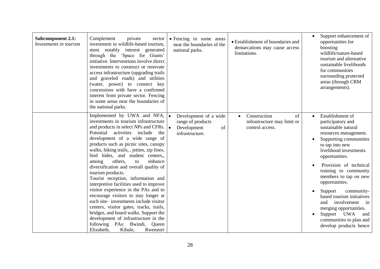| <b>Subcomponent 2.1:</b><br>Investments in tourism | Complement<br>private<br>sector<br>investment in wildlife-based tourism,<br>most notably interest generated<br>through the 'Space for Giants'<br>initiative. Interventions involve direct<br>investments to construct or renovate<br>access infrastructure (upgrading trails)<br>and graveled roads) and utilities<br>(water, power) to connect key<br>concessions with have a confirmed<br>interest from private sector. Fencing<br>in some areas near the boundaries of<br>the national parks.                                                                                                                                                                                                                                                                                                                                                | • Fencing in some areas<br>near the boundaries of the<br>national parks.                   | • Establishment of boundaries and<br>demarcations may cause access<br>limitations. | Support enhancement of<br>opportunities for<br>boosting<br>wildlife/nature-based<br>tourism and alternative<br>sustainable livelihoods<br>for communities<br>surrounding protected<br>areas (through CRM<br>arrangements).                                                                                                                                                                                                                                              |
|----------------------------------------------------|-------------------------------------------------------------------------------------------------------------------------------------------------------------------------------------------------------------------------------------------------------------------------------------------------------------------------------------------------------------------------------------------------------------------------------------------------------------------------------------------------------------------------------------------------------------------------------------------------------------------------------------------------------------------------------------------------------------------------------------------------------------------------------------------------------------------------------------------------|--------------------------------------------------------------------------------------------|------------------------------------------------------------------------------------|-------------------------------------------------------------------------------------------------------------------------------------------------------------------------------------------------------------------------------------------------------------------------------------------------------------------------------------------------------------------------------------------------------------------------------------------------------------------------|
|                                                    | Implemented by UWA and NFA, $\bullet$<br>investments in tourism infrastructure<br>and products in select NPs and CFRs.<br>Potential<br>activities include<br>the<br>development of a wide range of<br>products such as picnic sites, canopy<br>walks, hiking trails, , jetties, zip lines,<br>bird hides, and student centers,,<br>others,<br>enhance<br>to<br>among<br>diversification and overall quality of<br>tourism products.<br>Tourist reception, information and<br>interpretive facilities used to improve<br>visitor experience in the PAs and to<br>encourage visitors to stay longer at<br>each site- investments include visitor<br>centers, visitor gates, tracks, trails,<br>bridges, and board walks. Support the<br>development of infrastructure in the<br>following PAs: Bwindi, Queen<br>Kibale,<br>Elizabeth,<br>Rwenzori | Development of a wide<br>range of products<br>l el<br>Development<br>of<br>infrastructure. | Construction<br>of<br>infrastructure may limit or<br>control access.               | Establishment of<br>participatory and<br>sustainable natural<br>resources management.<br>Supporting communities<br>to tap into new<br>livelihood investments<br>opportunities.<br>Provision of technical<br>training to community<br>members to tap on new<br>opportunities.<br>Support<br>community-<br>based tourism initiatives<br>involvement<br>and<br>$\sin$<br>merging opportunities.<br>Support UWA<br>and<br>communities to plan and<br>develop products hence |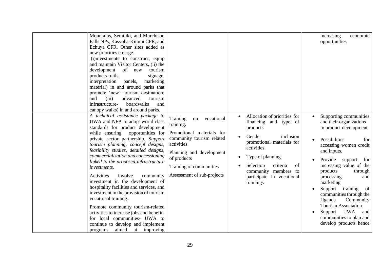| Mountains, Semiliki, and Murchison<br>Falls NPs, Kasyoha-Kitomi CFR, and<br>Echuya CFR. Other sites added as<br>new priorities emerge.<br>(i)investments to construct, equip<br>and maintain Visitor Centers, (ii) the<br>development<br>of<br>tourism<br>new<br>products-trails,<br>signage,<br>interpretation<br>panels,<br>marketing<br>material) in and around parks that<br>promote 'new' tourism destination;<br>and<br>(iii)<br>advanced<br>tourism<br>boardwalks<br>infrastructure-<br>and<br>canopy walks) in and around parks.<br>A technical assistance package to                                                                                                          |                                                                                                                                                                                                                       | Allocation of priorities for<br>$\bullet$                                                                                                                                                                                       | increasing<br>economic<br>opportunities<br>Supporting communities                                                                                                                                                                                                                                                                                                                                                      |
|----------------------------------------------------------------------------------------------------------------------------------------------------------------------------------------------------------------------------------------------------------------------------------------------------------------------------------------------------------------------------------------------------------------------------------------------------------------------------------------------------------------------------------------------------------------------------------------------------------------------------------------------------------------------------------------|-----------------------------------------------------------------------------------------------------------------------------------------------------------------------------------------------------------------------|---------------------------------------------------------------------------------------------------------------------------------------------------------------------------------------------------------------------------------|------------------------------------------------------------------------------------------------------------------------------------------------------------------------------------------------------------------------------------------------------------------------------------------------------------------------------------------------------------------------------------------------------------------------|
| UWA and NFA to adopt world class<br>standards for product development<br>while ensuring opportunities for<br>private sector partnership. Support<br>tourism planning, concept designs,<br>feasibility studies, detailed designs,<br>commercialization and concessioning<br>linked to the proposed infrastructure<br><i>investments.</i><br>Activities<br>involve<br>community<br>investment in the development of<br>hospitality facilities and services, and<br>investment in the provision of tourism<br>vocational training.<br>Promote community tourism-related<br>activities to increase jobs and benefits<br>for local communities- UWA to<br>continue to develop and implement | Training<br>vocational<br>on<br>training.<br>Promotional materials for<br>community tourism related<br>activities<br>Planning and development<br>of products<br>Training of communities<br>Assessment of sub-projects | financing and type of<br>products<br>Gender<br>inclusion<br>promotional materials for<br>activities.<br>Type of planning<br>٠<br>Selection<br>criteria<br>of<br>community members to<br>participate in vocational<br>trainings- | and their organizations<br>in product development.<br>Possibilities<br>for<br>accessing women credit<br>and inputs.<br>Provide<br>support<br>for<br>increasing value of the<br>products<br>through<br>processing<br>and<br>marketing<br>Support<br>training<br>of<br>communities through the<br>Community<br>Uganda<br>Tourism Association.<br>Support UWA<br>and<br>communities to plan and<br>develop products hence |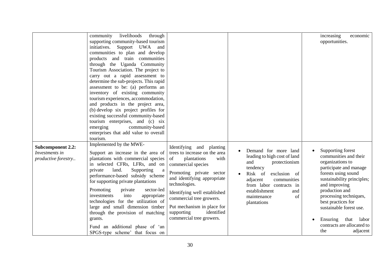|                          | community<br>livelihoods<br>through    |                               |                              | increasing<br>economic     |
|--------------------------|----------------------------------------|-------------------------------|------------------------------|----------------------------|
|                          |                                        |                               |                              |                            |
|                          | supporting community-based tourism     |                               |                              | opportunities.             |
|                          | initiatives.<br>Support UWA and        |                               |                              |                            |
|                          | communities to plan and develop        |                               |                              |                            |
|                          | products and train communities         |                               |                              |                            |
|                          | through the Uganda Community           |                               |                              |                            |
|                          | Tourism Association. The project to    |                               |                              |                            |
|                          | carry out a rapid assessment to        |                               |                              |                            |
|                          | determine the sub-projects. This rapid |                               |                              |                            |
|                          | assessment to be: (a) performs an      |                               |                              |                            |
|                          | inventory of existing community        |                               |                              |                            |
|                          | tourism experiences, accommodation,    |                               |                              |                            |
|                          | and products in the project area,      |                               |                              |                            |
|                          | (b) develop six project profiles for   |                               |                              |                            |
|                          | existing successful community-based    |                               |                              |                            |
|                          | tourism enterprises, and (c) six       |                               |                              |                            |
|                          | community-based<br>emerging            |                               |                              |                            |
|                          | enterprises that add value to overall  |                               |                              |                            |
|                          | tourism.                               |                               |                              |                            |
|                          | Implemented by the MWE-                |                               |                              |                            |
| <b>Subcomponent 2.2:</b> |                                        | Identifying and planting      | Demand for more land         | Supporting forest          |
| Investments in           | Support an increase in the area of     | trees to increase on the area | leading to high cost of land | communities and their      |
| productive forestry      | plantations with commercial species    | plantations<br>with<br>of     | and<br>protectionism         | organizations to           |
|                          | in selected CFRs, LFRs, and on         | commercial species            | tendency                     | participate and manage     |
|                          | Supporting<br>private<br>land.<br>a    | Promoting private sector      | Risk of<br>exclusion of      | forests using sound        |
|                          | performance-based subsidy scheme       | and identifying appropriate   | adjacent<br>communities      | sustainability principles; |
|                          | for supporting private plantations     | technologies.                 | from labor contracts in      | and improving              |
|                          | Promoting<br>sector-led<br>private     |                               | establishment<br>and         | production and             |
|                          | into<br>investments<br>appropriate     | Identifying well established  | of<br>maintenance            | processing techniques,     |
|                          | technologies for the utilization of    | commercial tree growers.      | plantations                  | best practices for         |
|                          | large and small dimension timber       | Put mechanism in place for    |                              | sustainable forest use.    |
|                          | through the provision of matching      | identified<br>supporting      |                              |                            |
|                          | grants.                                | commercial tree growers.      |                              | Ensuring<br>that<br>labor  |
|                          |                                        |                               |                              | contracts are allocated to |
|                          | Fund an additional phase of 'an        |                               |                              | the                        |
|                          | SPGS-type scheme' that focus on        |                               |                              | adjacent                   |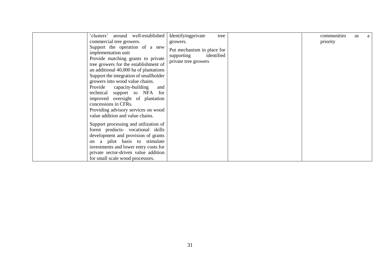| around well-established<br>'clusters'                                                                                                                                                                                                                                                                                                                                                          | Identifyingprivate<br>tree                                                     | communities<br><b>as</b> | a |
|------------------------------------------------------------------------------------------------------------------------------------------------------------------------------------------------------------------------------------------------------------------------------------------------------------------------------------------------------------------------------------------------|--------------------------------------------------------------------------------|--------------------------|---|
| commercial tree growers.                                                                                                                                                                                                                                                                                                                                                                       | growers.                                                                       | priority                 |   |
| Support the operation of a new<br>implementation unit<br>Provide matching grants to private<br>tree growers for the establishment of<br>an additional 40,000 ha of plantations<br>Support the integration of smallholder<br>growers into wood value chains.<br>Provide<br>capacity-building<br>and<br>technical support to NFA for<br>improved oversight of plantation<br>concessions in CFRs. | Put mechanism in place for<br>supporting<br>identified<br>private tree growers |                          |   |
| Providing advisory services on wood                                                                                                                                                                                                                                                                                                                                                            |                                                                                |                          |   |
| value addition and value chains.                                                                                                                                                                                                                                                                                                                                                               |                                                                                |                          |   |
| Support processing and utilization of<br>forest products- vocational skills<br>development and provision of grants<br>on a pilot basis to stimulate<br>investments and lower entry costs for<br>private sector-driven value addition                                                                                                                                                           |                                                                                |                          |   |
| for small scale wood processors.                                                                                                                                                                                                                                                                                                                                                               |                                                                                |                          |   |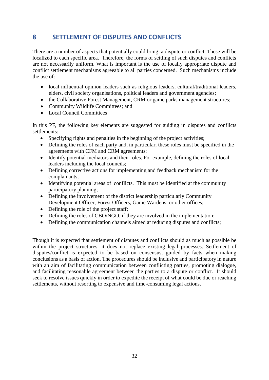## <span id="page-32-0"></span>**8 SETTLEMENT OF DISPUTES AND CONFLICTS**

There are a number of aspects that potentially could bring a dispute or conflict. These will be localized to each specific area. Therefore, the forms of settling of such disputes and conflicts are not necessarily uniform. What is important is the use of locally appropriate dispute and conflict settlement mechanisms agreeable to all parties concerned. Such mechanisms include the use of:

- local influential opinion leaders such as religious leaders, cultural/traditional leaders, elders, civil society organisations, political leaders and government agencies;
- the Collaborative Forest Management, CRM or game parks management structures;
- Community Wildlife Committees; and
- Local Council Committees

In this PF, the following key elements are suggested for guiding in disputes and conflicts settlements:

- Specifying rights and penalties in the beginning of the project activities;
- Defining the roles of each party and, in particular, these roles must be specified in the agreements with CFM and CRM agreements;
- Identify potential mediators and their roles. For example, defining the roles of local leaders including the local councils;
- Defining corrective actions for implementing and feedback mechanism for the complainants;
- Identifying potential areas of conflicts. This must be identified at the community participatory planning;
- Defining the involvement of the district leadership particularly Community Development Officer, Forest Officers, Game Wardens, or other offices;
- Defining the role of the project staff;
- Defining the roles of CBO/NGO, if they are involved in the implementation;
- Defining the communication channels aimed at reducing disputes and conflicts;

Though it is expected that settlement of disputes and conflicts should as much as possible be within the project structures, it does not replace existing legal processes. Settlement of disputes/conflict is expected to be based on consensus, guided by facts when making conclusions as a basis of action. The procedures should be inclusive and participatory in nature with an aim of facilitating communication between conflicting parties, promoting dialogue, and facilitating reasonable agreement between the parties to a dispute or conflict. It should seek to resolve issues quickly in order to expedite the receipt of what could be due or reaching settlements, without resorting to expensive and time-consuming legal actions.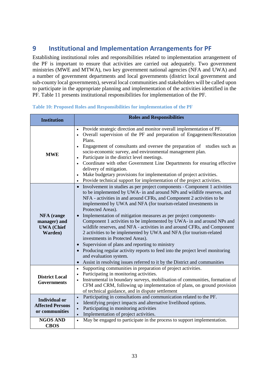# <span id="page-33-0"></span>**9 Institutional and Implementation Arrangements for PF**

Establishing institutional roles and responsibilities related to implementation arrangement of the PF is important to ensure that activities are carried out adequately. Two government ministries (MWE and MTWA), two key government national agencies (NFA and UWA) and a number of government departments and local governments (district local government and sub-county local governments), several local communities and stakeholders will be called upon to participate in the appropriate planning and implementation of the activities identified in the PF. Table 11 presents institutional responsibilities for implementation of the PF.

| <b>Institution</b>                                                | <b>Roles and Responsibilities</b>                                                                                                                                                                                                                                                                                                                                                                                                                                                                                                                                                                                                                                                                                                                                                                                                                                                                                             |
|-------------------------------------------------------------------|-------------------------------------------------------------------------------------------------------------------------------------------------------------------------------------------------------------------------------------------------------------------------------------------------------------------------------------------------------------------------------------------------------------------------------------------------------------------------------------------------------------------------------------------------------------------------------------------------------------------------------------------------------------------------------------------------------------------------------------------------------------------------------------------------------------------------------------------------------------------------------------------------------------------------------|
| <b>MWE</b>                                                        | Provide strategic direction and monitor overall implementation of PF.<br>Overall supervision of the PF and preparation of Engagement/Restoration<br>Plans.<br>Engagement of consultants and oversee the preparation of studies such as<br>socio-economic survey, and environmental management plan.<br>Participate in the district level meetings.<br>Coordinate with other Government Line Departments for ensuring effective<br>delivery of mitigation.<br>Make budgetary provisions for implementation of project activities.<br>Provide technical support for implementation of the project activities.<br>$\bullet$                                                                                                                                                                                                                                                                                                      |
| <b>NFA</b> (range<br>manager) and<br><b>UWA</b> (Chief<br>Warden) | Involvement in studies as per project components - Component 1 activities<br>$\bullet$<br>to be implemented by UWA- in and around NPs and wildlife reserves, and<br>NFA - activities in and around CFRs, and Component 2 activities to be<br>implemented by UWA and NFA (for tourism-related investments in<br>Protected Areas).<br>Implementation of mitigation measures as per project components-<br>$\bullet$<br>Component 1 activities to be implemented by UWA- in and around NPs and<br>wildlife reserves, and NFA - activities in and around CFRs, and Component<br>2 activities to be implemented by UWA and NFA (for tourism-related<br>investments in Protected Areas).<br>Supervision of plans and reporting to ministry<br>• Producing regular activity reports to feed into the project level monitoring<br>and evaluation system.<br>Assist in resolving issues referred to it by the District and communities |
| <b>District Local</b><br><b>Governments</b>                       | Supporting communities in preparation of project activities.<br>$\bullet$<br>Participating in monitoring activities.<br>$\bullet$<br>Instrumental in boundary surveys, mobilisation of communities, formation of<br>CFM and CRM, following up implementation of plans, on ground provision<br>of technical guidance, and in dispute settlement                                                                                                                                                                                                                                                                                                                                                                                                                                                                                                                                                                                |
| <b>Individual or</b><br><b>Affected Persons</b><br>or communities | Participating in consultations and communication related to the PF.<br>$\bullet$<br>Identifying project impacts and alternative livelihood options.<br>$\bullet$<br>Participating in monitoring activities<br>Implementation of project activities.<br>$\bullet$                                                                                                                                                                                                                                                                                                                                                                                                                                                                                                                                                                                                                                                              |
| <b>NGOS AND</b><br><b>CBOS</b>                                    | May be engaged to participate in the process to support implementation.<br>$\bullet$                                                                                                                                                                                                                                                                                                                                                                                                                                                                                                                                                                                                                                                                                                                                                                                                                                          |

#### <span id="page-33-1"></span>**Table 10: Proposed Roles and Responsibilities for implementation of the PF**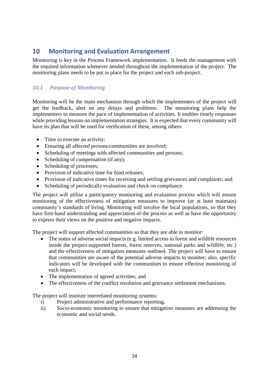# <span id="page-34-0"></span>**10 Monitoring and Evaluation Arrangement**

Monitoring is key in the Process Framework implementation. It feeds the management with the required information whenever needed throughout the implementation of the project. The monitoring plans needs to be put in place for the project and each sub-project.

### <span id="page-34-1"></span>*10.1 Purpose of Monitoring*

Monitoring will be the main mechanism through which the implementers of the project will get the feedback, alert on any delays and problems. The monitoring plans help the implementers to measure the pace of implementation of activities. It enables timely responses while providing lessons on implementation strategies. It is expected that every community will have its plan that will be used for verification of these, among others:

- Time to execute an activity;
- Ensuring all affected persons/communities are involved;
- Scheduling of meetings with affected communities and persons;
- Scheduling of compensation (if any);
- Scheduling of processes;
- Provision of indicative time for fund releases:
- Provision of indicative times for receiving and settling grievances and complaints; and
- Scheduling of periodically evaluation and check on compliance

The project will utilise a participatory monitoring and evaluation process which will ensure monitoring of the effectiveness of mitigation measures to improve (or at least maintain) community's standards of living. Monitoring will involve the local populations, so that they have first-hand understanding and appreciation of the process as well as have the opportunity to express their views on the positive and negative impacts.

The project will support affected communities so that they are able to monitor:

- The status of adverse social impacts (e.g. limited access to forest and wildlife resources inside the project-supported forests, forest reserves, national parks and wildlife, etc.) and the effectiveness of mitigation measures outlined. The project will have to ensure that communities are aware of the potential adverse impacts to monitor; also, specific indicators will be developed with the communities to ensure effective monitoring of each impact;
- The implementation of agreed activities; and
- The effectiveness of the conflict resolution and grievance settlement mechanisms.

The project will institute interrelated monitoring systems:

- i) Project administrative and performance reporting,
- ii) Socio-economic monitoring to ensure that mitigation measures are addressing the economic and social needs.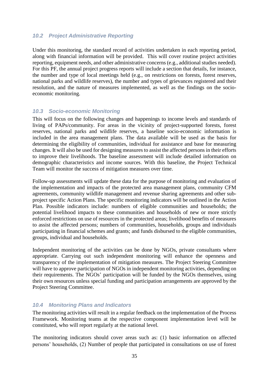#### <span id="page-35-0"></span>*10.2 Project Administrative Reporting*

Under this monitoring, the standard record of activities undertaken in each reporting period, along with financial information will be provided. This will cover routine project activities reporting, equipment needs, and other administrative concerns (e.g., additional studies needed). For this PF, the annual project progress reports will include a section that details, for instance, the number and type of local meetings held (e.g., on restrictions on forests, forest reserves, national parks and wildlife reserves), the number and types of grievances registered and their resolution, and the nature of measures implemented, as well as the findings on the socioeconomic monitoring.

#### <span id="page-35-1"></span>*10.3 Socio-economic Monitoring*

This will focus on the following changes and happenings to income levels and standards of living of PAPs/community. For areas in the vicinity of project-supported forests, forest reserves, national parks and wildlife reserves, a baseline socio-economic information is included in the area management plans. The data available will be used as the basis for determining the eligibility of communities, individual for assistance and base for measuring changes. It will also be used for designing measures to assist the affected persons in their efforts to improve their livelihoods. The baseline assessment will include detailed information on demographic characteristics and income sources. With this baseline, the Project Technical Team will monitor the success of mitigation measures over time.

Follow-up assessments will update these data for the purpose of monitoring and evaluation of the implementation and impacts of the protected area management plans, community CFM agreements, community wildlife management and revenue sharing agreements and other subproject specific Action Plans. The specific monitoring indicators will be outlined in the Action Plan. Possible indicators include: numbers of eligible communities and households; the potential livelihood impacts to these communities and households of new or more strictly enforced restrictions on use of resources in the protected areas; livelihood benefits of measures to assist the affected persons; numbers of communities, households, groups and individuals participating in financial schemes and grants; and funds disbursed to the eligible communities, groups, individual and households.

Independent monitoring of the activities can be done by NGOs, private consultants where appropriate. Carrying out such independent monitoring will enhance the openness and transparency of the implementation of mitigation measures. The Project Steering Committee will have to approve participation of NGOs in independent monitoring activities, depending on their requirements. The NGOs' participation will be funded by the NGOs themselves, using their own resources unless special funding and participation arrangements are approved by the Project Steering Committee.

#### <span id="page-35-2"></span>*10.4 Monitoring Plans and Indicators*

The monitoring activities will result in a regular feedback on the implementation of the Process Framework. Monitoring teams at the respective component implementation level will be constituted, who will report regularly at the national level.

The monitoring indicators should cover areas such as: (1) basic information on affected persons' households, (2) Number of people that participated in consultations on use of forest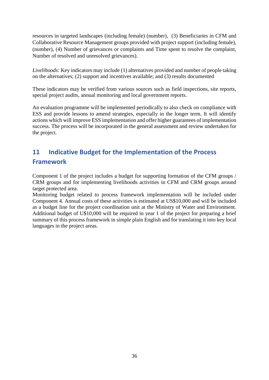resources in targeted landscapes (including female) (number), (3) Beneficiaries in CFM and Collaborative Resource Management groups provided with project support (including female), (number), (4) Number of grievances or complaints and Time spent to resolve the complaint, Number of resolved and unresolved grievances).

*Livelihoods:* Key indicators may include (1) alternatives provided and number of people taking on the alternatives; (2) support and incentives available; and (3) results documented

These indicators may be verified from various sources such as field inspections, site reports, special project audits, annual monitoring and local government reports.

An evaluation programme will be implemented periodically to also check on compliance with ESS and provide lessons to amend strategies, especially in the longer term. It will identify actions which will improve ESS implementation and offer higher guarantees of implementation success. The process will be incorporated in the general assessment and review undertaken for the project.

# <span id="page-36-0"></span>**11 Indicative Budget for the Implementation of the Process Framework**

Component 1 of the project includes a budget for supporting formation of the CFM groups / CRM groups and for implementing livelihoods activities in CFM and CRM groups around target protected area.

Monitoring budget related to process framework implementation will be included under Component 4. Annual costs of these activities is estimated at US\$10,000 and will be included as a budget line for the project coordination unit at the Ministry of Water and Environment. Additional budget of U\$10,000 will be required in year 1 of the project for preparing a brief summary of this process framework in simple plain English and for translating it into key local languages in the project areas.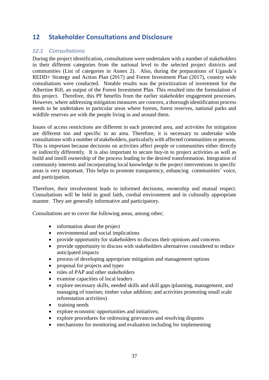# <span id="page-37-0"></span>**12 Stakeholder Consultations and Disclosure**

#### <span id="page-37-1"></span>*12.1 Consultations*

During the project identification, consultations were undertaken with a number of stakeholders in their different categories from the national level to the selected project districts and communities (List of categories in Annex 2). Also, during the preparations of Uganda's REDD+ Strategy and Action Plan (2017) and Forest Investment Plan (2017), country wide consultations were conducted. Notable results was the prioritization of investment for the Albertine Rift, an output of the Forest Investment Plan. This resulted into the formulation of this project. Therefore, this PF benefits from the earlier stakeholder engagement processes. However, where addressing mitigation measures are concern, a thorough identification process needs to be undertaken in particular areas where forests, forest reserves, national parks and wildlife reserves are with the people living in and around them.

Issues of access restrictions are different in each protected area, and activities for mitigation are different too and specific to an area. Therefore, it is necessary to undertake wide consultations with a number of stakeholders, particularly with affected communities or persons. This is important because decisions on activities affect people or communities either directly or indirectly differently. It is also important to secure buy-in to project activities as well as build and instill ownership of the process leading to the desired transformation. Integration of community interests and incorporating local knowledge in the project interventions in specific areas is very important. This helps to promote transparency, enhancing communities' voice, and participation.

Therefore, their involvement leads to informed decisions, ownership and mutual respect. Consultations will be held in good faith, cordial environment and in culturally appropriate manner. They are generally informative and participatory.

Consultations are to cover the following areas, among other;

- information about the project
- environmental and social implications
- provide opportunity for stakeholders to discuss their opinions and concerns
- provide opportunity to discuss with stakeholders alternatives considered to reduce anticipated impacts
- process of developing appropriate mitigation and management options
- proposal for projects and types
- roles of PAP and other stakeholders
- examine capacities of local leaders
- explore necessary skills, needed skills and skill gaps (planning, management, and managing of tourism; timber value addition; and activities promoting small scale reforestation activities)
- training needs
- explore economic opportunities and initiatives;
- explore procedures for redressing grievances and resolving disputes
- mechanisms for monitoring and evaluation including for implementing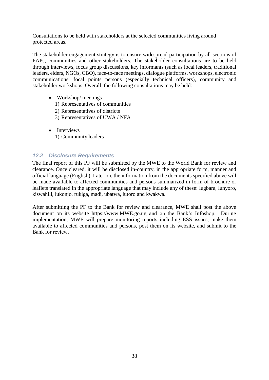Consultations to be held with stakeholders at the selected communities living around protected areas.

The stakeholder engagement strategy is to ensure widespread participation by all sections of PAPs, communities and other stakeholders. The stakeholder consultations are to be held through interviews, focus group discussions, key informants (such as local leaders, traditional leaders, elders, NGOs, CBO), face-to-face meetings, dialogue platforms, workshops, electronic communications. focal points persons (especially technical officers), community and stakeholder workshops. Overall, the following consultations may be held:

- Workshop/ meetings
	- 1) Representatives of communities
	- 2) Representatives of districts
	- 3) Representatives of UWA / NFA
- Interviews 1) Community leaders

#### <span id="page-38-0"></span>*12.2 Disclosure Requirements*

The final report of this PF will be submitted by the MWE to the World Bank for review and clearance. Once cleared, it will be disclosed in-country, in the appropriate form, manner and official language (English). Later on, the information from the documents specified above will be made available to affected communities and persons summarized in form of brochure or leaflets translated in the appropriate language that may include any of these: lugbara, lunyoro, kiswahili, lukonjo, rukiga, madi, ubatwa, lutoro and kwakwa.

After submitting the PF to the Bank for review and clearance, MWE shall post the above document on its website [https://www.MWE.go.ug](https://www.moes.go.ug/) and on the Bank's Infoshop. During implementation, MWE will prepare monitoring reports including ESS issues, make them available to affected communities and persons, post them on its website, and submit to the Bank for review.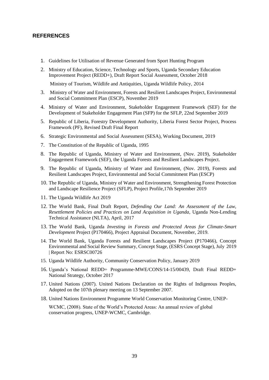#### <span id="page-39-0"></span>**REFERENCES**

- 1. Guidelines for Utilisation of Revenue Generated from Sport Hunting Program
- 2. Ministry of Education, Science, Technology and Sports, Uganda Secondary Education Improvement Project (REDD+), Draft Report Social Assessment, October 2018 Ministry of Tourism, Wildlife and Antiquities, Uganda Wildlife Policy, 2014
- 3. Ministry of Water and Environment, Forests and Resilient Landscapes Project, Environmental and Social Commitment Plan (ESCP), November 2019
- 4. Ministry of Water and Environment, Stakeholder Engagement Framework (SEF) for the Development of Stakeholder Engagement Plan (SFP) for the SFLP, 22nd September 2019
- 5. Republic of Liberia, Forestry Development Authority, Liberia Forest Sector Project, Process Framework (PF), Revised Draft Final Report
- 6. Strategic Environmental and Social Assessment (SESA), Working Document, 2019
- 7. The Constitution of the Republic of Uganda, 1995
- 8. The Republic of Uganda, Ministry of Water and Environment, (Nov. 2019), Stakeholder Engagement Framework (SEF), the Uganda Forests and Resilient Landscapes Project.
- 9. The Republic of Uganda, Ministry of Water and Environment, (Nov. 2019), Forests and Resilient Landscapes Project, Environmental and Social Commitment Plan (ESCP)
- 10. The Republic of Uganda, Ministry of Water and Environment, Strengthening Forest Protection and Landscape Resilience Project (SFLP), Project Profile,17th September 2019
- 11. The Uganda Wildlife Act 2019
- 12. The World Bank, Final Draft Report, *Defending Our Land: An Assessment of the Law, Resettlement Policies and Practices on Land Acquisition in Uganda*, Uganda Non-Lending Technical Assistance (NLTA), April, 2017
- 13. The World Bank, Uganda *Investing in Forests and Protected Areas for Climate-Smart Development* Project (P170466), Project Appraisal Document, November, 2019.
- 14. The World Bank, Uganda Forests and Resilient Landscapes Project (P170466), Concept Environmental and Social Review Summary, Concept Stage, (ESRS Concept Stage), July 2019 | Report No: ESRSC00726
- 15. Uganda Wildlife Authority, Community Conservation Policy, January 2019
- 16. Uganda's National REDD+ Programme-MWE/CONS/14-15/00439, Draft Final REDD+ National Strategy, October 2017
- 17. United Nations (2007). United Nations Declaration on the Rights of Indigenous Peoples, Adopted on the 107th plenary meeting on 13 September 2007.
- 18. United Nations Environment Programme World Conservation Monitoring Centre, UNEP-

WCMC, (2008). State of the World's Protected Areas: An annual review of global conservation progress, UNEP-WCMC, Cambridge.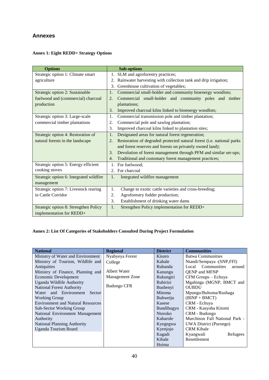### <span id="page-40-0"></span>**Annexes**

#### **Annex 1: Eight REDD+ Strategy Options**

| <b>Options</b>                          | <b>Sub-options</b>                                                          |
|-----------------------------------------|-----------------------------------------------------------------------------|
| Strategic option 1: Climate smart       | SLM and agroforestry practices;<br>1.                                       |
| agriculture                             | Rainwater harvesting with collection tank and drip irrigation;<br>2.        |
|                                         | Greenhouse cultivation of vegetables;<br>3.                                 |
| Strategic option 2: Sustainable         | Commercial small-holder and community bioenergy woodlots;<br>1.             |
| fuelwood and (commercial) charcoal      | Commercial small-holder and community poles and timber<br>2.                |
| production                              | plantations;                                                                |
|                                         | 3.<br>Improved charcoal kilns linked to bioenergy woodlots;                 |
| Strategic option 3: Large-scale         | Commercial transmission pole and timber plantation;<br>1.                   |
| commercial timber plantations           | Commercial pole and sawlog plantation;<br>2.                                |
|                                         | Improved charcoal kilns linked to plantation sites;<br>3.                   |
| Strategic option 4: Restoration of      | Designated areas for natural forest regeneration;<br>1.                     |
| natural forests in the landscape        | Restoration of degraded protected natural forest (i.e. national parks<br>2. |
|                                         | and forest reserves and forests on privately owned land);                   |
|                                         | Devolution of forest management through PFM and similar set-ups;<br>3.      |
|                                         | Traditional and customary forest management practices;<br>4.                |
| Strategic option 5: Energy efficient    | For fuelwood:<br>1.                                                         |
| cooking stoves                          | 2. For charcoal                                                             |
| Strategic option 6: Integrated wildfire | 1.<br>Integrated wildfire management                                        |
| management                              |                                                                             |
| Strategic option 7: Livestock rearing   | Change to exotic cattle varieties and cross-breeding;<br>1.                 |
| in Cattle Corridor                      | 2.<br>Agroforestry fodder production;                                       |
|                                         | 3.<br>Establishment of drinking water dams                                  |
| Strategic option 8: Strengthen Policy   | 1.<br>Strengthen Policy implementation for REDD+                            |
| implementation for REDD+                |                                                                             |

#### **Annex 2: List Of Categories of Stakeholders Consulted During Project Formulation**

| <b>National</b>                          | <b>Regional</b>        | <b>District</b>                           | <b>Communities</b>             |  |
|------------------------------------------|------------------------|-------------------------------------------|--------------------------------|--|
| Ministry of Water and Environment        | Nyabyeya Forest        |                                           | <b>Batwa Communities</b>       |  |
| Ministry of Tourism, Wildlife and        | College                | Kabale                                    | Ntandi/Sempaya - (SNP, FFI)    |  |
| Antiquities                              |                        | Rubanda                                   | Local Communities<br>around    |  |
| Ministry of Finance, Planning and        | Albert Water           | Kanungu                                   | <b>QENP</b> and MFNP           |  |
| <b>Economic Development</b>              | <b>Management Zone</b> | Rukungiri                                 | CFM Groups - Echuya            |  |
| Uganda Wildlife Authority                |                        | <b>Rubirizi</b>                           | Mgahinga (MGNP, BMCT and       |  |
| <b>National Forest Authority</b>         | <b>Budongo CFR</b>     |                                           | <b>OUBDU</b>                   |  |
| Water and Environment<br>Sector          |                        | Mitoma                                    | Mpungu/Buhoma/Rushaga          |  |
| Working Group                            |                        | <b>Buhweiju</b>                           | $(BINP + BMCT)$                |  |
| <b>Environment and Natural Resources</b> |                        | Kasese                                    | CRM - Echuya                   |  |
| <b>Sub-Sector Working Group</b>          |                        | Bundibugyo                                | CRM - Kasyoha Kitomi           |  |
| National Environment Management          |                        | <b>Ntoroko</b>                            | CRM - Budongo                  |  |
| Authority                                |                        | Kabarole                                  | Murchison Fall National Park - |  |
| <b>National Planning Authority</b>       |                        | <b>UWA District (Purongo)</b><br>Kyegegwa |                                |  |
| <b>Uganda Tourism Board</b>              |                        | Kyenjojo                                  | <b>CRM Kibale</b>              |  |
|                                          |                        | Kagadi                                    | Kyangwali<br>Refugees          |  |
|                                          |                        | Kibale                                    | Resettlement                   |  |
|                                          |                        | Hoima                                     |                                |  |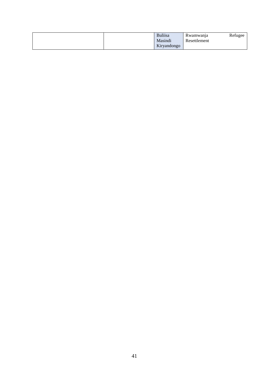|  | <b>Bulisa</b><br>Masindi | Rwamwanja<br>Resettlement | Refugee |
|--|--------------------------|---------------------------|---------|
|  | Kiryandongo              |                           |         |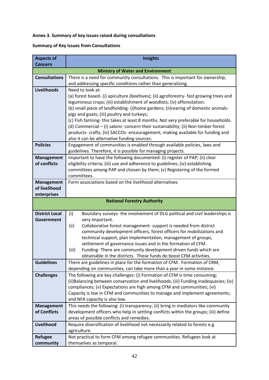#### **Annex 3. Summary of key issues raised during consultations**

#### **Summary of Key Issues from Consultations**

| <b>Aspects of</b><br><b>Concern</b> | <b>Insights</b>                                                                                                                        |
|-------------------------------------|----------------------------------------------------------------------------------------------------------------------------------------|
|                                     | <b>Ministry of Water and Environment</b>                                                                                               |
| <b>Consultations</b>                | There is a need for community consultations. This is important for ownership,                                                          |
|                                     | and addressing specific conditions rather than generalizing.                                                                           |
| Livelihoods                         | Need to look at:                                                                                                                       |
|                                     | (a) forest based- (i) apiculture (beehives); (ii) agroforestry- fast growing trees and                                                 |
|                                     | leguminous crops; (iii) establishment of woodlots; (iv) afforestation.                                                                 |
|                                     | (b) small piece of landholding- (i)home gardens; (ii)rearing of domestic animals-                                                      |
|                                     | pigs and goats; (iii) poultry and turkeys;<br>(c) Fish farming-this takes at least 8 months. Not very preferable for households.       |
|                                     | (d) Commercial - (i) salons- concern their sustainability; (ii) Non-timber forest                                                      |
|                                     | products- crafts; (iii) SACCOs- encouragement, making available for funding and                                                        |
|                                     | also it can be alternative funding sources.                                                                                            |
| <b>Policies</b>                     | Engagement of communities is enabled through available policies, laws and                                                              |
|                                     | guidelines. Therefore, it is possible for managing projects.                                                                           |
| <b>Management</b>                   | Important to have the following documented: (i) register of PAP; (ii) clear                                                            |
| of conflicts                        | eligibility criteria; (iii) use and adherence to guidelines; (iv) establishing                                                         |
|                                     | committees among PAP and chosen by them; (v) Registering of the formed                                                                 |
| <b>Management</b>                   | committees.<br>Form associations based on the livelihood alternatives                                                                  |
| of livelihood                       |                                                                                                                                        |
| enterprises                         |                                                                                                                                        |
|                                     | <b>National Forestry Authority</b>                                                                                                     |
|                                     |                                                                                                                                        |
| <b>District Local</b>               | Boundary surveys- the involvement of DLG political and civil leaderships is<br>(i)                                                     |
| Government                          | very important.                                                                                                                        |
|                                     | Collaborative forest management- support is needed from district<br>(iii)                                                              |
|                                     | community development officers, forest officers for mobilizations and<br>technical support, plan implementation, management of groups, |
|                                     | settlement of governance issues and in the formation of CFM.                                                                           |
|                                     | Funding-There are community development driven funds which are<br>(iii)                                                                |
|                                     | obtainable in the districts. These funds do boost CFM activities.                                                                      |
| <b>Guidelines</b>                   | There are guidelines in place for the formation of CFM. Formation of CRM,                                                              |
|                                     | depending on communities, can take more than a year in some instance.                                                                  |
| <b>Challenges</b>                   | The following are key challenges: (i) Formation of CFM is time consuming;                                                              |
|                                     | (ii) Balancing between conservation and livelihoods; (iii) Funding inadequacies; (iv)                                                  |
|                                     | compliances; (v) Expectations are high among CFM and communities; (vi)                                                                 |
|                                     | Capacity is low in CFM and communities to manage and implement agreements;<br>and NFA capacity is also low.                            |
| <b>Management</b>                   | This needs the following: (i) transparency; (ii) bring in mediators like community                                                     |
| of Conflicts                        | development officers who help in settling conflicts within the groups; (iii) define                                                    |
|                                     | areas of possible conflicts and remedies.                                                                                              |
| Livelihood                          | Require diversification of livelihood not necessarily related to forests e.g                                                           |
|                                     | agriculture.                                                                                                                           |
| <b>Refugee</b>                      | Not practical to form CFM among refugee communities. Refugees look at                                                                  |
| community                           | themselves as temporal.                                                                                                                |